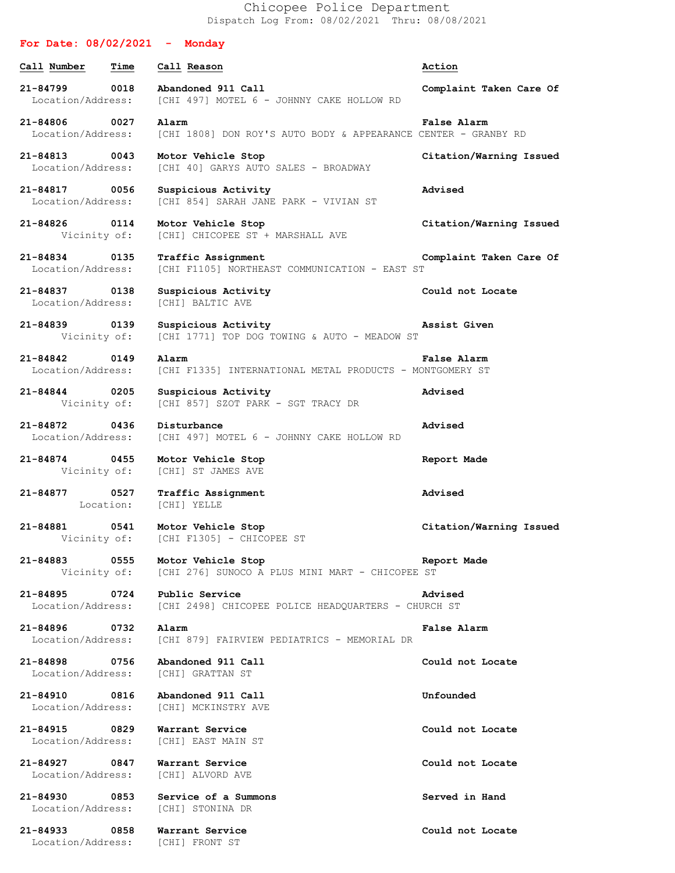Chicopee Police Department Dispatch Log From: 08/02/2021 Thru: 08/08/2021

| For Date: $08/02/2021$ - Monday       |      |                                                                                    |                         |
|---------------------------------------|------|------------------------------------------------------------------------------------|-------------------------|
| Call Number                           | Time | Call Reason                                                                        | Action                  |
| 21-84799<br>Location/Address:         | 0018 | Abandoned 911 Call<br>[CHI 497] MOTEL 6 - JOHNNY CAKE HOLLOW RD                    | Complaint Taken Care Of |
| 21-84806 0027<br>Location/Address:    |      | Alarm<br>[CHI 1808] DON ROY'S AUTO BODY & APPEARANCE CENTER - GRANBY RD            | <b>False Alarm</b>      |
| 21-84813 0043<br>Location/Address:    |      | Motor Vehicle Stop<br>[CHI 40] GARYS AUTO SALES - BROADWAY                         | Citation/Warning Issued |
| 21-84817<br>Location/Address:         | 0056 | Suspicious Activity<br>[CHI 854] SARAH JANE PARK - VIVIAN ST                       | Advised                 |
| 21-84826 0114<br>Vicinity of:         |      | Motor Vehicle Stop<br>[CHI] CHICOPEE ST + MARSHALL AVE                             | Citation/Warning Issued |
| 21-84834 0135<br>Location/Address:    |      | Traffic Assignment<br>[CHI F1105] NORTHEAST COMMUNICATION - EAST ST                | Complaint Taken Care Of |
| 21-84837 0138<br>Location/Address:    |      | Suspicious Activity<br>[CHI] BALTIC AVE                                            | Could not Locate        |
| 21-84839 0139<br>Vicinity of:         |      | Suspicious Activity<br>[CHI 1771] TOP DOG TOWING & AUTO - MEADOW ST                | Assist Given            |
| 21-84842<br>Location/Address:         | 0149 | Alarm<br>[CHI F1335] INTERNATIONAL METAL PRODUCTS - MONTGOMERY ST                  | False Alarm             |
| 21-84844 0205<br>Vicinity of:         |      | Suspicious Activity<br>[CHI 857] SZOT PARK - SGT TRACY DR                          | Advised                 |
| 21-84872<br>Location/Address:         | 0436 | Disturbance<br>[CHI 497] MOTEL 6 - JOHNNY CAKE HOLLOW RD                           | Advised                 |
| 21-84874 0455<br>Vicinity of:         |      | Motor Vehicle Stop<br>[CHI] ST JAMES AVE                                           | Report Made             |
| 21-84877                              | 0527 | Traffic Assignment<br>Location: [CHI] YELLE                                        | Advised                 |
| 21-84881 0541                         |      | Motor Vehicle Stop<br>Vicinity of: [CHI F1305] - CHICOPEE ST                       | Citation/Warning Issued |
| 21-84883                              | 0555 | Motor Vehicle Stop<br>Vicinity of: [CHI 276] SUNOCO A PLUS MINI MART - CHICOPEE ST | Report Made             |
| 21-84895<br>Location/Address:         | 0724 | Public Service<br>[CHI 2498] CHICOPEE POLICE HEADQUARTERS - CHURCH ST              | Advised                 |
| 21-84896<br>0732<br>Location/Address: |      | Alarm<br>[CHI 879] FAIRVIEW PEDIATRICS - MEMORIAL DR                               | <b>False Alarm</b>      |
| 21-84898 0756<br>Location/Address:    |      | Abandoned 911 Call<br>[CHI] GRATTAN ST                                             | Could not Locate        |
| 21-84910<br>0816<br>Location/Address: |      | Abandoned 911 Call<br>[CHI] MCKINSTRY AVE                                          | Unfounded               |
| 21-84915 0829<br>Location/Address:    |      | Warrant Service<br>[CHI] EAST MAIN ST                                              | Could not Locate        |
| 21-84927<br>0847<br>Location/Address: |      | Warrant Service<br>[CHI] ALVORD AVE                                                | Could not Locate        |
| 21-84930<br>Location/Address:         | 0853 | Service of a Summons<br>[CHI] STONINA DR                                           | Served in Hand          |
| 21-84933<br>Location/Address:         | 0858 | Warrant Service<br>[CHI] FRONT ST                                                  | Could not Locate        |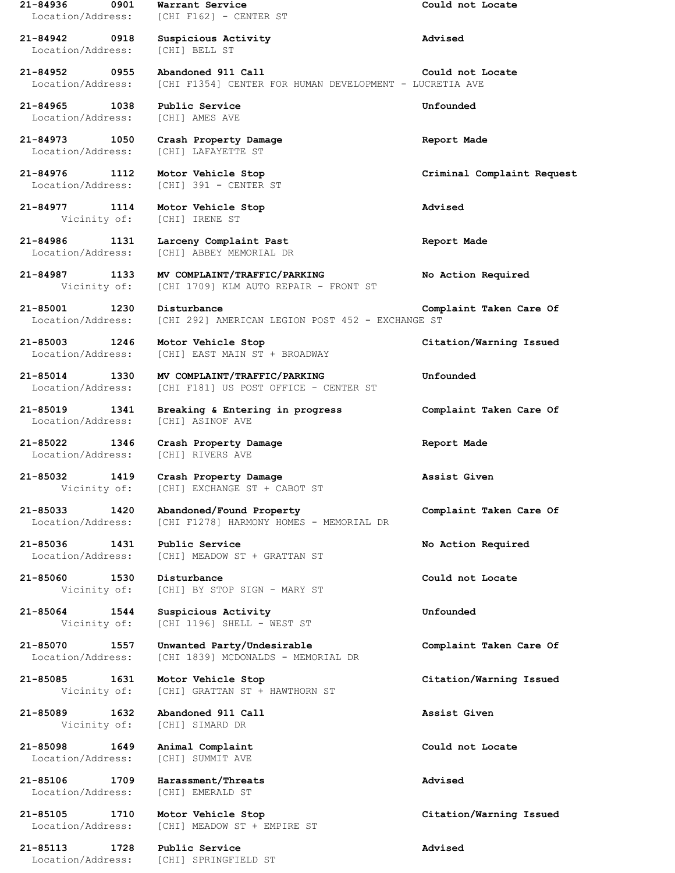**21-84936 0901 Warrant Service Could not Locate** Location/Address: [CHI F162] - CENTER ST **21-84942 0918 Suspicious Activity Advised** Location/Address: [CHI] BELL ST **21-84952 0955 Abandoned 911 Call Could not Locate** Location/Address: [CHI F1354] CENTER FOR HUMAN DEVELOPMENT - LUCRETIA AVE **21-84965 1038 Public Service Unfounded** Location/Address: [CHI] AMES AVE **21-84973 1050 Crash Property Damage Report Made** Location/Address: [CHI] LAFAYETTE ST **21-84976 1112 Motor Vehicle Stop Criminal Complaint Request** Location/Address: [CHI] 391 - CENTER ST **21-84977 1114 Motor Vehicle Stop Advised** Vicinity of: [CHI] IRENE ST **21-84986 1131 Larceny Complaint Past Report Made** Location/Address: [CHI] ABBEY MEMORIAL DR **21-84987 1133 MV COMPLAINT/TRAFFIC/PARKING No Action Required** Vicinity of: [CHI 1709] KLM AUTO REPAIR - FRONT ST **21-85001 1230 Disturbance Complaint Taken Care Of** Location/Address: [CHI 292] AMERICAN LEGION POST 452 - EXCHANGE ST **21-85003 1246 Motor Vehicle Stop Citation/Warning Issued** Location/Address: [CHI] EAST MAIN ST + BROADWAY **21-85014 1330 MV COMPLAINT/TRAFFIC/PARKING Unfounded** Location/Address: [CHI F181] US POST OFFICE - CENTER ST **21-85019 1341 Breaking & Entering in progress Complaint Taken Care Of** Location/Address: [CHI] ASINOF AVE **21-85022 1346 Crash Property Damage Report Made** Location/Address: [CHI] RIVERS AVE **21-85032 1419 Crash Property Damage Assist Given** Vicinity of: [CHI] EXCHANGE ST + CABOT ST **21-85033 1420 Abandoned/Found Property Complaint Taken Care Of** [CHI F1278] HARMONY HOMES - MEMORIAL DR **21-85036 1431 Public Service No Action Required** Location/Address: [CHI] MEADOW ST + GRATTAN ST **21-85060 1530 Disturbance Could not Locate** Vicinity of: [CHI] BY STOP SIGN - MARY ST **21-85064 1544 Suspicious Activity Unfounded** Vicinity of: [CHI 1196] SHELL - WEST ST **21-85070 1557 Unwanted Party/Undesirable Complaint Taken Care Of** Location/Address: [CHI 1839] MCDONALDS - MEMORIAL DR **21-85085 1631 Motor Vehicle Stop Citation/Warning Issued** Vicinity of: [CHI] GRATTAN ST + HAWTHORN ST **21-85089 1632 Abandoned 911 Call Assist Given** Vicinity of: [CHI] SIMARD DR **21-85098 1649 Animal Complaint Could not Locate** Location/Address: [CHI] SUMMIT AVE **21-85106 1709 Harassment/Threats Advised** Location/Address: [CHI] EMERALD ST **21-85105 1710 Motor Vehicle Stop Citation/Warning Issued** Location/Address: [CHI] MEADOW ST + EMPIRE ST **21-85113 1728 Public Service Advised** Location/Address: [CHI] SPRINGFIELD ST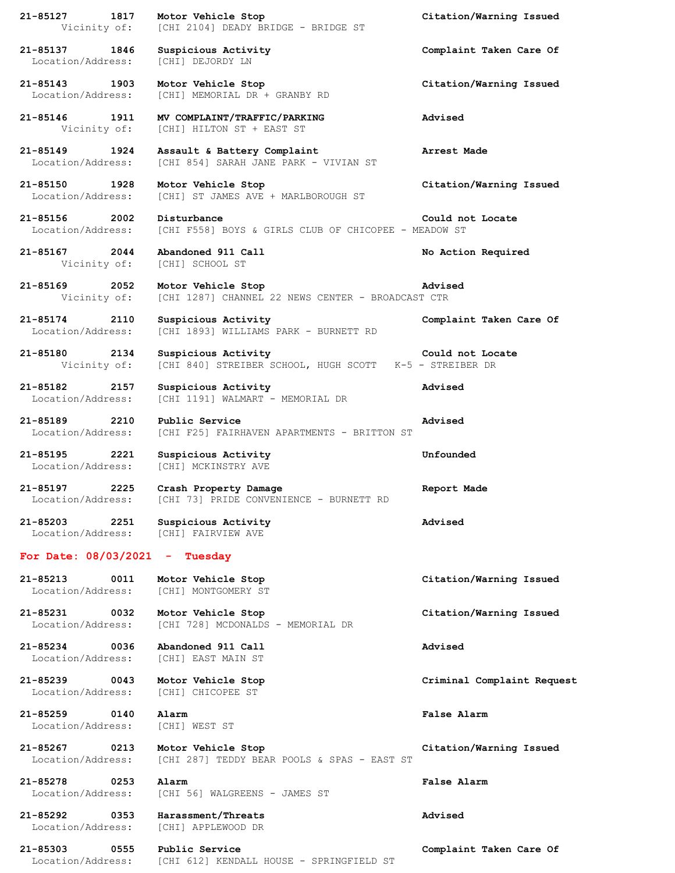| 21-85127 1817                             |      | Motor Vehicle Stop<br>Vicinity of: [CHI 2104] DEADY BRIDGE - BRIDGE ST         | Citation/Warning Issued    |
|-------------------------------------------|------|--------------------------------------------------------------------------------|----------------------------|
| 21-85137 1846<br>Location/Address:        |      | Suspicious Activity<br>[CHI] DEJORDY LN                                        | Complaint Taken Care Of    |
| 21-85143 1903<br>Location/Address:        |      | Motor Vehicle Stop<br>[CHI] MEMORIAL DR + GRANBY RD                            | Citation/Warning Issued    |
| 21-85146 1911<br>Vicinity of:             |      | MV COMPLAINT/TRAFFIC/PARKING<br>[CHI] HILTON ST + EAST ST                      | Advised                    |
| 21-85149 1924<br>Location/Address:        |      | Assault & Battery Complaint<br>[CHI 854] SARAH JANE PARK - VIVIAN ST           | Arrest Made                |
| 21-85150 1928<br>Location/Address:        |      | Motor Vehicle Stop<br>[CHI] ST JAMES AVE + MARLBOROUGH ST                      | Citation/Warning Issued    |
| 21-85156 2002<br>Location/Address:        |      | Disturbance<br>[CHI F558] BOYS & GIRLS CLUB OF CHICOPEE - MEADOW ST            | Could not Locate           |
| 21-85167 2044                             |      | Abandoned 911 Call<br>Vicinity of: [CHI] SCHOOL ST                             | No Action Required         |
| 21-85169 2052<br>Vicinity of:             |      | Motor Vehicle Stop<br>[CHI 1287] CHANNEL 22 NEWS CENTER - BROADCAST CTR        | Advised                    |
| 21-85174 2110<br>Location/Address:        |      | Suspicious Activity<br>[CHI 1893] WILLIAMS PARK - BURNETT RD                   | Complaint Taken Care Of    |
| 21-85180 2134<br>Vicinity of:             |      | Suspicious Activity<br>[CHI 840] STREIBER SCHOOL, HUGH SCOTT K-5 - STREIBER DR | Could not Locate           |
| 21-85182 2157<br>Location/Address:        |      | Suspicious Activity<br>[CHI 1191] WALMART - MEMORIAL DR                        | Advised                    |
| 21-85189 2210<br>Location/Address:        |      | Public Service<br>[CHI F25] FAIRHAVEN APARTMENTS - BRITTON ST                  | Advised                    |
| 21-85195 2221<br>Location/Address:        |      | Suspicious Activity<br>[CHI] MCKINSTRY AVE                                     | Unfounded                  |
| 21-85197<br>2225<br>Location/Address:     |      | Crash Property Damage<br>[CHI 73] PRIDE CONVENIENCE - BURNETT RD               | Report Made                |
| 21-85203<br>Location/Address:             | 2251 | Suspicious Activity<br>[CHI] FAIRVIEW AVE                                      | Advised                    |
| For Date: $08/03/2021$ - Tuesday          |      |                                                                                |                            |
| 21-85213<br>Location/Address:             | 0011 | Motor Vehicle Stop<br>[CHI] MONTGOMERY ST                                      | Citation/Warning Issued    |
| 21-85231<br>0032<br>Location/Address:     |      | Motor Vehicle Stop<br>[CHI 728] MCDONALDS - MEMORIAL DR                        | Citation/Warning Issued    |
| 21-85234<br>0036<br>Location/Address:     |      | Abandoned 911 Call<br>[CHI] EAST MAIN ST                                       | Advised                    |
| $21 - 85239$<br>0043<br>Location/Address: |      | Motor Vehicle Stop<br>[CHI] CHICOPEE ST                                        | Criminal Complaint Request |
| $21 - 85259$<br>Location/Address:         | 0140 | Alarm<br>[CHI] WEST ST                                                         | False Alarm                |
| $21 - 85267$<br>0213<br>Location/Address: |      | Motor Vehicle Stop<br>[CHI 287] TEDDY BEAR POOLS & SPAS - EAST ST              | Citation/Warning Issued    |
| $21 - 85278$<br>Location/Address:         | 0253 | Alarm<br>[CHI 56] WALGREENS - JAMES ST                                         | False Alarm                |
| 21-85292<br>Location/Address:             | 0353 | Harassment/Threats<br>[CHI] APPLEWOOD DR                                       | Advised                    |
| 21-85303                                  | 0555 | Public Service                                                                 | Complaint Taken Care Of    |

Location/Address: [CHI 612] KENDALL HOUSE - SPRINGFIELD ST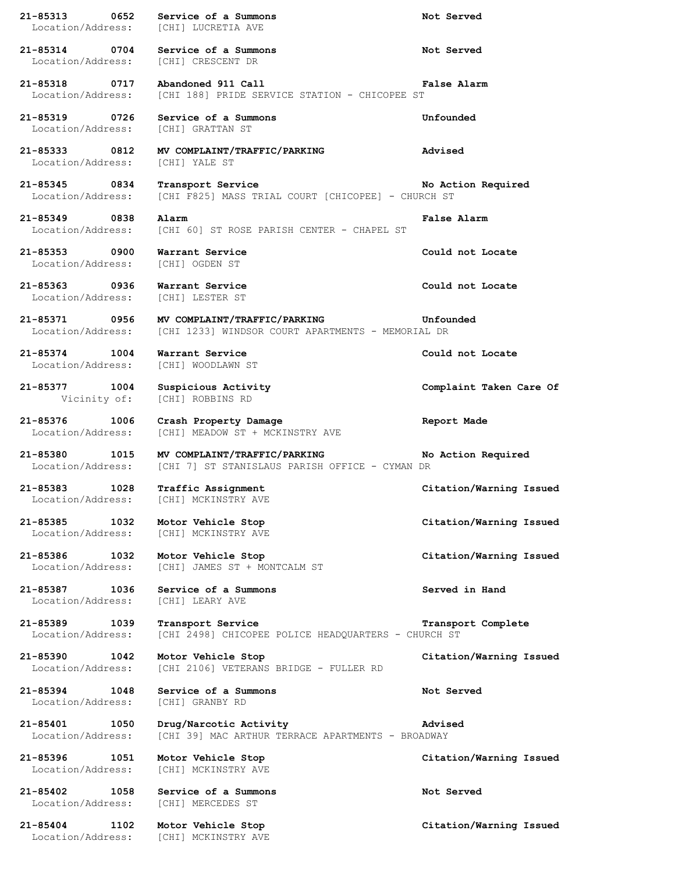**21-85313 0652 Service of a Summons Not Served** Location/Address: [CHI] LUCRETIA AVE **21-85314 0704 Service of a Summons Not Served** Location/Address: [CHI] CRESCENT DR **21-85318 0717 Abandoned 911 Call False Alarm** Location/Address: [CHI 188] PRIDE SERVICE STATION - CHICOPEE ST **21-85319 0726 Service of a Summons Unfounded** Location/Address: [CHI] GRATTAN ST **21-85333 0812 MV COMPLAINT/TRAFFIC/PARKING Advised** Location/Address: [CHI] YALE ST **21-85345 0834 Transport Service No Action Required** Location/Address: [CHI F825] MASS TRIAL COURT [CHICOPEE] - CHURCH ST **21-85349 0838 Alarm False Alarm** Location/Address: [CHI 60] ST ROSE PARISH CENTER - CHAPEL ST **21-85353 0900 Warrant Service Could not Locate** Location/Address: [CHI] OGDEN ST **21-85363 0936 Warrant Service Could not Locate** Location/Address: [CHI] LESTER ST **21-85371 0956 MV COMPLAINT/TRAFFIC/PARKING Unfounded** Location/Address: [CHI 1233] WINDSOR COURT APARTMENTS - MEMORIAL DR **21-85374 1004 Warrant Service Could not Locate** Location/Address: [CHI] WOODLAWN ST **21-85377 1004 Suspicious Activity Complaint Taken Care Of** Vicinity of: [CHI] ROBBINS RD **21-85376 1006 Crash Property Damage Report Made** Location/Address: [CHI] MEADOW ST + MCKINSTRY AVE **21-85380 1015 MV COMPLAINT/TRAFFIC/PARKING No Action Required** Location/Address: [CHI 7] ST STANISLAUS PARISH OFFICE - CYMAN DR **21-85383 1028 Traffic Assignment Citation/Warning Issued** Location/Address: [CHI] MCKINSTRY AVE **21-85385 1032 Motor Vehicle Stop Citation/Warning Issued** Location/Address: [CHI] MCKINSTRY AVE **21-85386 1032 Motor Vehicle Stop Citation/Warning Issued** Location/Address: [CHI] JAMES ST + MONTCALM ST **21-85387 1036 Service of a Summons Served in Hand** Location/Address: [CHI] LEARY AVE **21-85389 1039 Transport Service Transport Complete** Location/Address: [CHI 2498] CHICOPEE POLICE HEADQUARTERS - CHURCH ST **21-85390 1042 Motor Vehicle Stop Citation/Warning Issued** Location/Address: [CHI 2106] VETERANS BRIDGE - FULLER RD **21-85394 1048 Service of a Summons Not Served** Location/Address: [CHI] GRANBY RD **21-85401 1050 Drug/Narcotic Activity Advised** Location/Address: [CHI 39] MAC ARTHUR TERRACE APARTMENTS - BROADWAY **21-85396 1051 Motor Vehicle Stop Citation/Warning Issued** Location/Address: [CHI] MCKINSTRY AVE **21-85402 1058 Service of a Summons Not Served** Location/Address: [CHI] MERCEDES ST **21-85404 1102 Motor Vehicle Stop Citation/Warning Issued** Location/Address: [CHI] MCKINSTRY AVE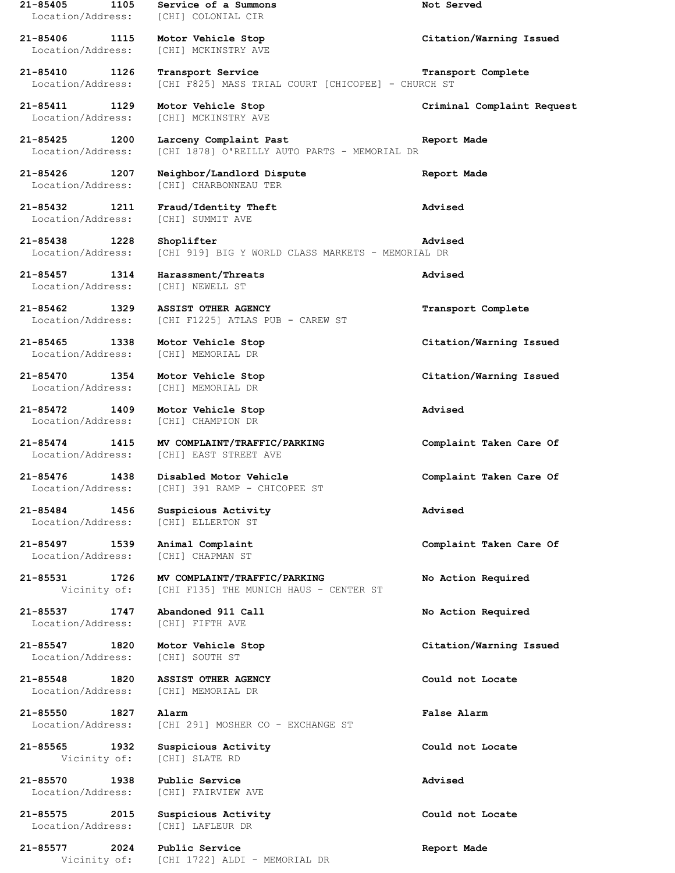**21-85405 1105 Service of a Summons Not Served** Location/Address: [CHI] COLONIAL CIR **21-85406 1115 Motor Vehicle Stop Citation/Warning Issued** Location/Address: [CHI] MCKINSTRY AVE **21-85410 1126 Transport Service Transport Complete** Location/Address: [CHI F825] MASS TRIAL COURT [CHICOPEE] - CHURCH ST **21-85411 1129 Motor Vehicle Stop Criminal Complaint Request** Location/Address: [CHI] MCKINSTRY AVE **21-85425 1200 Larceny Complaint Past Report Made** Location/Address: [CHI 1878] O'REILLY AUTO PARTS - MEMORIAL DR **21-85426 1207 Neighbor/Landlord Dispute Report Made** Location/Address: [CHI] CHARBONNEAU TER **21-85432 1211 Fraud/Identity Theft Advised** Location/Address: [CHI] SUMMIT AVE **21-85438 1228 Shoplifter Advised** Location/Address: [CHI 919] BIG Y WORLD CLASS MARKETS - MEMORIAL DR **21-85457 1314 Harassment/Threats Advised** Location/Address: [CHI] NEWELL ST **21-85462 1329 ASSIST OTHER AGENCY Transport Complete** Location/Address: [CHI F1225] ATLAS PUB - CAREW ST **21-85465 1338 Motor Vehicle Stop Citation/Warning Issued** Location/Address: [CHI] MEMORIAL DR **21-85470 1354 Motor Vehicle Stop Citation/Warning Issued** Location/Address: [CHI] MEMORIAL DR **21-85472 1409 Motor Vehicle Stop Advised** Location/Address: [CHI] CHAMPION DR **21-85474 1415 MV COMPLAINT/TRAFFIC/PARKING Complaint Taken Care Of** [CHI] EAST STREET AVE **21-85476 1438 Disabled Motor Vehicle Complaint Taken Care Of** Location/Address: [CHI] 391 RAMP - CHICOPEE ST **21-85484 1456 Suspicious Activity Advised** Location/Address: [CHI] ELLERTON ST **21-85497 1539 Animal Complaint Complaint Taken Care Of** Location/Address: [CHI] CHAPMAN ST **21-85531 1726 MV COMPLAINT/TRAFFIC/PARKING No Action Required** Vicinity of: [CHI F135] THE MUNICH HAUS - CENTER ST **21-85537 1747 Abandoned 911 Call No Action Required** Location/Address: [CHI] FIFTH AVE **21-85547 1820 Motor Vehicle Stop Citation/Warning Issued** Location/Address: [CHI] SOUTH ST **21-85548 1820 ASSIST OTHER AGENCY Could not Locate** Location/Address: [CHI] MEMORIAL DR **21-85550 1827 Alarm False Alarm** Location/Address: [CHI 291] MOSHER CO - EXCHANGE ST **21-85565 1932 Suspicious Activity Could not Locate** Vicinity of: [CHI] SLATE RD **21-85570 1938 Public Service Advised** Location/Address: [CHI] FAIRVIEW AVE **21-85575 2015 Suspicious Activity Could not Locate** Location/Address: [CHI] LAFLEUR DR **21-85577 2024 Public Service Report Made** Vicinity of: [CHI 1722] ALDI - MEMORIAL DR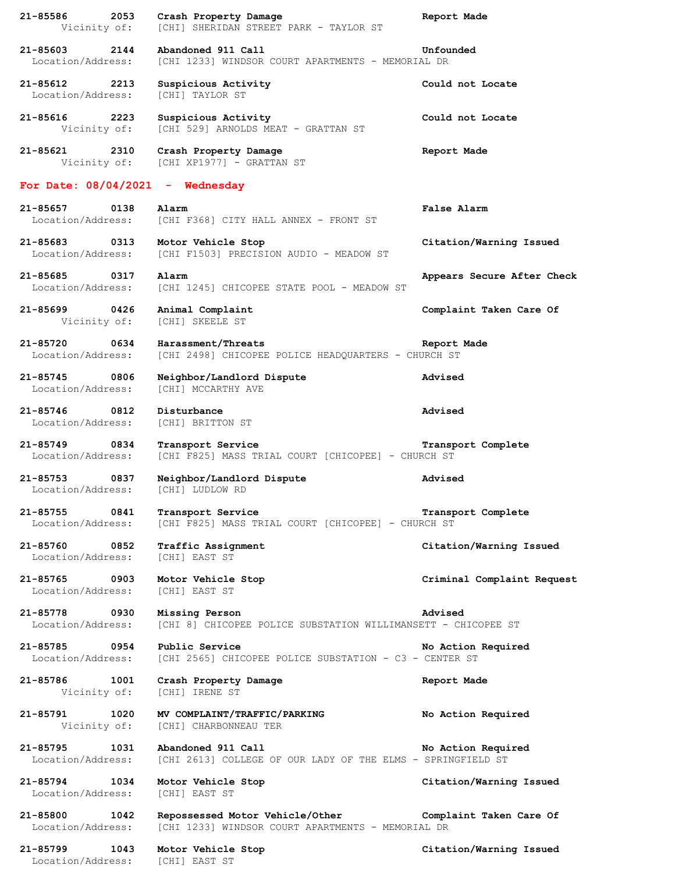| 21-85586<br>2053<br>Vicinity of:                    | Crash Property Damage<br>[CHI] SHERIDAN STREET PARK - TAYLOR ST                                              | Report Made                |
|-----------------------------------------------------|--------------------------------------------------------------------------------------------------------------|----------------------------|
| 21-85603<br>2144<br>Location/Address:               | Abandoned 911 Call<br>[CHI 1233] WINDSOR COURT APARTMENTS - MEMORIAL DR                                      | Unfounded                  |
| 21-85612<br>2213<br>Location/Address:               | Suspicious Activity<br>[CHI] TAYLOR ST                                                                       | Could not Locate           |
| 21-85616<br>2223<br>Vicinity of:                    | Suspicious Activity<br>[CHI 529] ARNOLDS MEAT - GRATTAN ST                                                   | Could not Locate           |
| 21-85621<br>2310<br>Vicinity of:                    | Crash Property Damage<br>[CHI XP1977] - GRATTAN ST                                                           | Report Made                |
| For Date: $08/04/2021 -$                            | Wednesday                                                                                                    |                            |
| 21-85657<br>0138<br>Location/Address:               | Alarm<br>[CHI F368] CITY HALL ANNEX - FRONT ST                                                               | False Alarm                |
| 21-85683<br>0313<br>Location/Address:               | Motor Vehicle Stop<br>[CHI F1503] PRECISION AUDIO - MEADOW ST                                                | Citation/Warning Issued    |
| $21 - 85685$<br>0317<br>Location/Address:           | Alarm<br>[CHI 1245] CHICOPEE STATE POOL - MEADOW ST                                                          | Appears Secure After Check |
| 21-85699<br>0426<br>Vicinity of:                    | Animal Complaint<br>[CHI] SKEELE ST                                                                          | Complaint Taken Care Of    |
| 0634<br>21-85720<br>Location/Address:               | Harassment/Threats<br>[CHI 2498] CHICOPEE POLICE HEADQUARTERS - CHURCH ST                                    | Report Made                |
| 21-85745<br>0806<br>Location/Address:               | Neighbor/Landlord Dispute<br>[CHI] MCCARTHY AVE                                                              | Advised                    |
| $21 - 85746$<br>0812<br>Location/Address:           | Disturbance<br>[CHI] BRITTON ST                                                                              | Advised                    |
| $21 - 85749$<br>0834<br>Location/Address:           | Transport Service<br>[CHI F825] MASS TRIAL COURT [CHICOPEE] - CHURCH ST                                      | Transport Complete         |
| 21-85753<br>0837<br>Location/Address:               | Neighbor/Landlord Dispute<br>[CHI] LUDLOW RD                                                                 | Advised                    |
| 21-85755<br>0841<br>Location/Address:               | Transport Service<br>[CHI F825] MASS TRIAL COURT [CHICOPEE] - CHURCH ST                                      | Transport Complete         |
| 21-85760 0852<br>Location/Address:                  | Traffic Assignment<br>[CHI] EAST ST                                                                          | Citation/Warning Issued    |
| 21-85765 0903<br>Location/Address:                  | Motor Vehicle Stop<br><b>[CHI] EAST ST</b>                                                                   | Criminal Complaint Request |
| 21-85778 0930<br>Location/Address:                  | Missing Person<br>[CHI 8] CHICOPEE POLICE SUBSTATION WILLIMANSETT - CHICOPEE ST                              | Advised                    |
| 21-85785 0954<br>Location/Address:                  | Public Service<br>[CHI 2565] CHICOPEE POLICE SUBSTATION - C3 - CENTER ST                                     | No Action Required         |
| 21-85786 1001<br>Vicinity of:                       | Crash Property Damage<br>[CHI] IRENE ST                                                                      | Report Made                |
| 21-85791 1020<br>Vicinity of:                       | MV COMPLAINT/TRAFFIC/PARKING<br>[CHI] CHARBONNEAU TER                                                        | No Action Required         |
| 21-85795 1031<br>Location/Address:                  | Abandoned 911 Call<br>[CHI 2613] COLLEGE OF OUR LADY OF THE ELMS - SPRINGFIELD ST                            | No Action Required         |
| 21-85794 1034<br>Location/Address:                  | Motor Vehicle Stop<br>[CHI] EAST ST                                                                          | Citation/Warning Issued    |
| 21-85800<br>1042<br>Location/Address:               | Repossessed Motor Vehicle/Other Complaint Taken Care Of<br>[CHI 1233] WINDSOR COURT APARTMENTS - MEMORIAL DR |                            |
| 21-85799<br>1043<br>Location/Address: [CHI] EAST ST | Motor Vehicle Stop                                                                                           | Citation/Warning Issued    |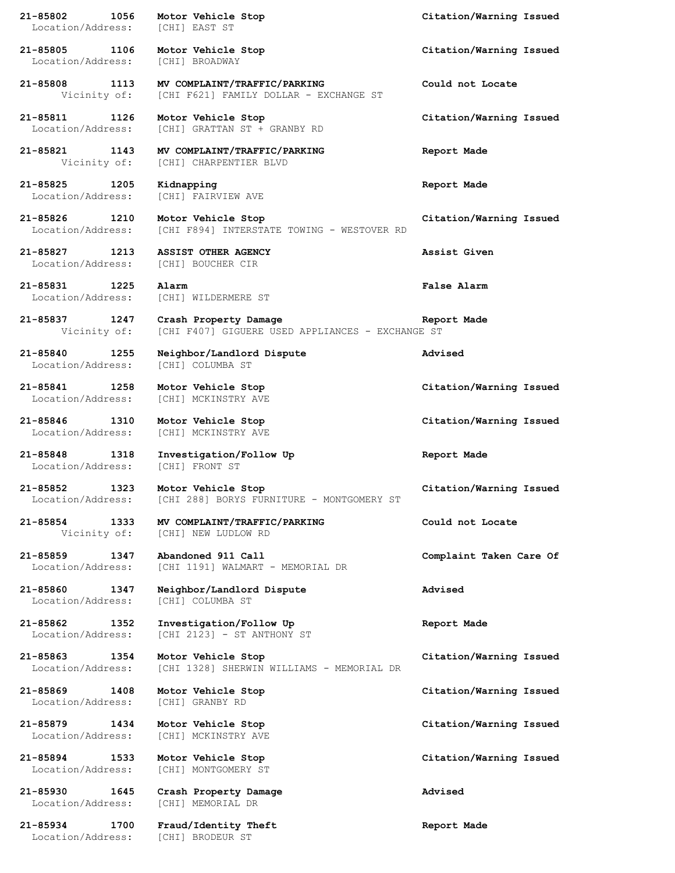| 21-85802<br>1056<br>Location/Address: [CHI] EAST ST  | Motor Vehicle Stop                                                                                | Citation/Warning Issued |
|------------------------------------------------------|---------------------------------------------------------------------------------------------------|-------------------------|
| 21-85805 1106<br>Location/Address:                   | Motor Vehicle Stop<br>[CHI] BROADWAY                                                              | Citation/Warning Issued |
|                                                      | 21-85808 1113 MV COMPLAINT/TRAFFIC/PARKING<br>Vicinity of: [CHI F621] FAMILY DOLLAR - EXCHANGE ST | Could not Locate        |
| 21-85811 1126<br>Location/Address:                   | Motor Vehicle Stop<br>[CHI] GRATTAN ST + GRANBY RD                                                | Citation/Warning Issued |
|                                                      | 21-85821 1143 MV COMPLAINT/TRAFFIC/PARKING<br>Vicinity of: [CHI] CHARPENTIER BLVD                 | Report Made             |
| 21-85825 1205<br>Location/Address:                   | Kidnapping<br>[CHI] FAIRVIEW AVE                                                                  | Report Made             |
|                                                      | 21-85826 1210 Motor Vehicle Stop<br>Location/Address: [CHI F894] INTERSTATE TOWING - WESTOVER RD  | Citation/Warning Issued |
| 21-85827 1213<br>Location/Address: [CHI] BOUCHER CIR | <b>ASSIST OTHER AGENCY</b>                                                                        | Assist Given            |
| 21-85831 1225<br>Location/Address:                   | Alarm<br>[CHI] WILDERMERE ST                                                                      | <b>False Alarm</b>      |
| 21-85837 1247<br>Vicinity of:                        | Crash Property Damage<br>[CHI F407] GIGUERE USED APPLIANCES - EXCHANGE ST                         | Report Made             |
| 21-85840 1255<br>Location/Address:                   | Neighbor/Landlord Dispute<br>[CHI] COLUMBA ST                                                     | Advised                 |
| 21-85841 1258<br>Location/Address:                   | Motor Vehicle Stop<br>[CHI] MCKINSTRY AVE                                                         | Citation/Warning Issued |
|                                                      | 21-85846 1310 Motor Vehicle Stop<br>Location/Address: [CHI] MCKINSTRY AVE                         | Citation/Warning Issued |
| 21-85848 1318<br>Location/Address: [CHI] FRONT ST    | Investigation/Follow Up                                                                           | Report Made             |
|                                                      | 21-85852 1323 Motor Vehicle Stop<br>Location/Address: [CHI 288] BORYS FURNITURE - MONTGOMERY ST   | Citation/Warning Issued |
|                                                      | 21-85854 1333 MV COMPLAINT/TRAFFIC/PARKING<br>Vicinity of: [CHI] NEW LUDLOW RD                    | Could not Locate        |
| 21-85859<br>1347<br>Location/Address:                | Abandoned 911 Call<br>[CHI 1191] WALMART - MEMORIAL DR                                            | Complaint Taken Care Of |
| 21-85860<br>1347<br>Location/Address:                | Neighbor/Landlord Dispute<br>[CHI] COLUMBA ST                                                     | Advised                 |
| 21-85862 1352<br>Location/Address:                   | Investigation/Follow Up<br>[CHI 2123] - ST ANTHONY ST                                             | Report Made             |
| 21-85863<br>1354<br>Location/Address:                | Motor Vehicle Stop<br>[CHI 1328] SHERWIN WILLIAMS - MEMORIAL DR                                   | Citation/Warning Issued |
| 21-85869 1408<br>Location/Address:                   | Motor Vehicle Stop<br>[CHI] GRANBY RD                                                             | Citation/Warning Issued |
| 21-85879<br>1434<br>Location/Address:                | Motor Vehicle Stop<br>[CHI] MCKINSTRY AVE                                                         | Citation/Warning Issued |
| 21-85894 1533<br>Location/Address:                   | Motor Vehicle Stop<br>[CHI] MONTGOMERY ST                                                         | Citation/Warning Issued |
| 21-85930<br>1645<br>Location/Address:                | Crash Property Damage<br>[CHI] MEMORIAL DR                                                        | Advised                 |
| 21-85934<br>1700<br>Location/Address:                | Fraud/Identity Theft<br>[CHI] BRODEUR ST                                                          | Report Made             |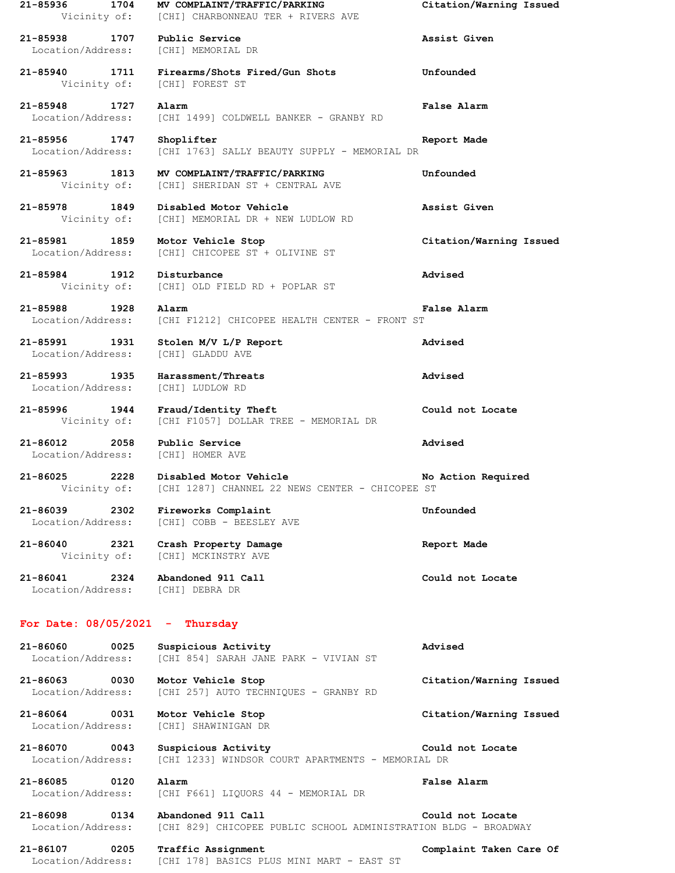| 21-85936<br>1704<br>Vicinity of:          | MV COMPLAINT/TRAFFIC/PARKING<br>[CHI] CHARBONNEAU TER + RIVERS AVE                    | Citation/Warning Issued |
|-------------------------------------------|---------------------------------------------------------------------------------------|-------------------------|
| 1707<br>21-85938<br>Location/Address:     | Public Service<br>[CHI] MEMORIAL DR                                                   | Assist Given            |
| 21-85940<br>1711<br>Vicinity of:          | Firearms/Shots Fired/Gun Shots<br>[CHI] FOREST ST                                     | Unfounded               |
| 21-85948<br>1727<br>Location/Address:     | Alarm<br>[CHI 1499] COLDWELL BANKER - GRANBY RD                                       | False Alarm             |
| $21 - 85956$<br>1747<br>Location/Address: | Shoplifter<br>[CHI 1763] SALLY BEAUTY SUPPLY - MEMORIAL DR                            | Report Made             |
| 21-85963<br>1813<br>Vicinity of:          | MV COMPLAINT/TRAFFIC/PARKING<br>[CHI] SHERIDAN ST + CENTRAL AVE                       | Unfounded               |
| 21-85978<br>1849<br>Vicinity of:          | Disabled Motor Vehicle<br>[CHI] MEMORIAL DR + NEW LUDLOW RD                           | Assist Given            |
| 21-85981<br>1859<br>Location/Address:     | Motor Vehicle Stop<br>[CHI] CHICOPEE ST + OLIVINE ST                                  | Citation/Warning Issued |
| 21-85984<br>1912<br>Vicinity of:          | Disturbance<br>[CHI] OLD FIELD RD + POPLAR ST                                         | Advised                 |
| 21-85988<br>1928<br>Location/Address:     | Alarm<br>[CHI F1212] CHICOPEE HEALTH CENTER - FRONT ST                                | False Alarm             |
| 21-85991<br>1931<br>Location/Address:     | Stolen M/V L/P Report<br>[CHI] GLADDU AVE                                             | Advised                 |
| 21-85993<br>1935<br>Location/Address:     | Harassment/Threats<br>[CHI] LUDLOW RD                                                 | Advised                 |
| 21-85996<br>1944<br>Vicinity of:          | Fraud/Identity Theft<br>[CHI F1057] DOLLAR TREE - MEMORIAL DR                         | Could not Locate        |
| 21-86012<br>2058<br>Location/Address:     | Public Service<br>[CHI] HOMER AVE                                                     | Advised                 |
| 21-86025<br>2228<br>Vicinity of:          | Disabled Motor Vehicle<br>[CHI 1287] CHANNEL 22 NEWS CENTER - CHICOPEE ST             | No Action Required      |
| 21-86039<br>2302<br>Location/Address:     | Fireworks Complaint<br>[CHI] COBB - BEESLEY AVE                                       | Unfounded               |
| 21-86040 2321<br>Vicinity of:             | Crash Property Damage<br>[CHI] MCKINSTRY AVE                                          | Report Made             |
| 21-86041<br>2324<br>Location/Address:     | Abandoned 911 Call<br>[CHI] DEBRA DR                                                  | Could not Locate        |
| For Date: $08/05/2021 -$                  | Thursday                                                                              |                         |
| 21-86060<br>0025<br>Location/Address:     | Suspicious Activity<br>[CHI 854] SARAH JANE PARK - VIVIAN ST                          | Advised                 |
| 21-86063 0030<br>Location/Address:        | Motor Vehicle Stop<br>[CHI 257] AUTO TECHNIQUES - GRANBY RD                           | Citation/Warning Issued |
| 21-86064<br>0031<br>Location/Address:     | Motor Vehicle Stop<br>[CHI] SHAWINIGAN DR                                             | Citation/Warning Issued |
| 21-86070<br>0043<br>Location/Address:     | Suspicious Activity<br>[CHI 1233] WINDSOR COURT APARTMENTS - MEMORIAL DR              | Could not Locate        |
| $21 - 86085$<br>0120<br>Location/Address: | Alarm<br>[CHI F661] LIQUORS 44 - MEMORIAL DR                                          | False Alarm             |
| 21-86098 0134<br>Location/Address:        | Abandoned 911 Call<br>[CHI 829] CHICOPEE PUBLIC SCHOOL ADMINISTRATION BLDG - BROADWAY | Could not Locate        |
| 21-86107<br>0205<br>Location/Address:     | Traffic Assignment<br>[CHI 178] BASICS PLUS MINI MART - EAST ST                       | Complaint Taken Care Of |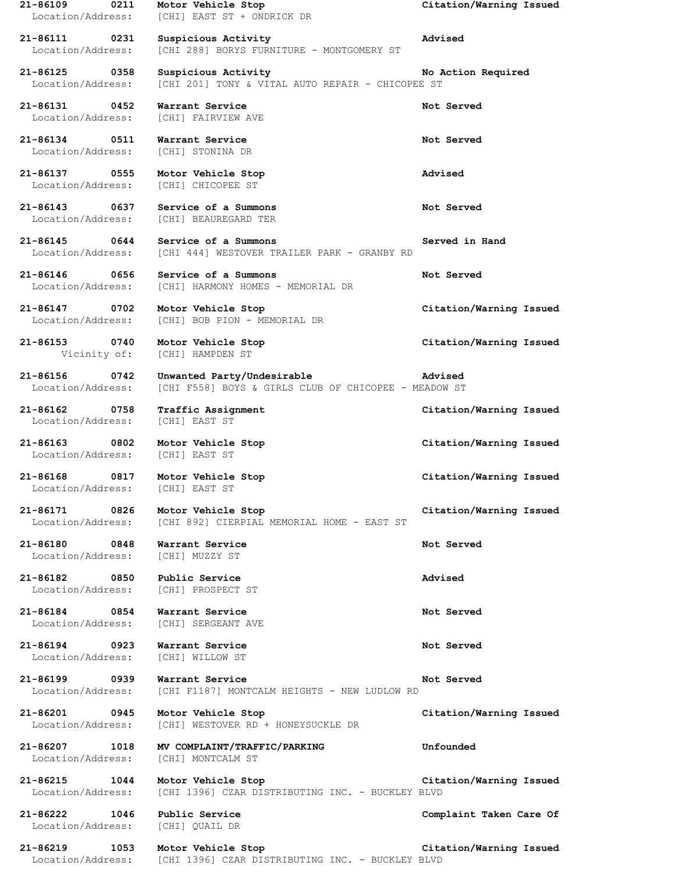| $21 - 86109$<br>0211<br>Location/Address: | Motor Vehicle Stop<br>[CHI] EAST ST + ONDRICK DR                                   | Citation/Warning Issued |
|-------------------------------------------|------------------------------------------------------------------------------------|-------------------------|
| 21-86111<br>0231<br>Location/Address:     | Suspicious Activity<br>[CHI 288] BORYS FURNITURE - MONTGOMERY ST                   | Advised                 |
| 21-86125 0358<br>Location/Address:        | Suspicious Activity<br>[CHI 201] TONY & VITAL AUTO REPAIR - CHICOPEE ST            | No Action Required      |
| 21-86131<br>0452<br>Location/Address:     | Warrant Service<br>[CHI] FAIRVIEW AVE                                              | Not Served              |
| 21-86134 0511<br>Location/Address:        | Warrant Service<br>[CHI] STONINA DR                                                | Not Served              |
| 21-86137 0555<br>Location/Address:        | Motor Vehicle Stop<br>[CHI] CHICOPEE ST                                            | Advised                 |
| 21-86143<br>0637<br>Location/Address:     | Service of a Summons<br>[CHI] BEAUREGARD TER                                       | Not Served              |
| 21-86145 0644<br>Location/Address:        | Service of a Summons<br>[CHI 444] WESTOVER TRAILER PARK - GRANBY RD                | Served in Hand          |
| 0656<br>21-86146<br>Location/Address:     | Service of a Summons<br>[CHI] HARMONY HOMES - MEMORIAL DR                          | Not Served              |
| 21-86147 0702<br>Location/Address:        | Motor Vehicle Stop<br>[CHI] BOB PION - MEMORIAL DR                                 | Citation/Warning Issued |
| 21-86153 0740<br>Vicinity of:             | Motor Vehicle Stop<br>[CHI] HAMPDEN ST                                             | Citation/Warning Issued |
| 21-86156<br>0742<br>Location/Address:     | Unwanted Party/Undesirable<br>[CHI F558] BOYS & GIRLS CLUB OF CHICOPEE - MEADOW ST | Advised                 |
| 21-86162<br>0758<br>Location/Address:     | Traffic Assignment<br>[CHI] EAST ST                                                | Citation/Warning Issued |
| 21-86163<br>$\sim$ 0802                   | Motor Vehicle Stop                                                                 | Citation/Warning Issued |
| Location/Address:                         | [CHI] EAST ST                                                                      |                         |
| 21-86168<br>0817<br>Location/Address:     | Motor Vehicle Stop<br>[CHI] EAST ST                                                | Citation/Warning Issued |
| 21-86171 0826<br>Location/Address:        | Motor Vehicle Stop<br>[CHI 892] CIERPIAL MEMORIAL HOME - EAST ST                   | Citation/Warning Issued |
| 21-86180 0848<br>Location/Address:        | Warrant Service<br>[CHI] MUZZY ST                                                  | Not Served              |
| 21-86182 0850<br>Location/Address:        | Public Service<br>[CHI] PROSPECT ST                                                | Advised                 |
| 21-86184 0854<br>Location/Address:        | Warrant Service<br>[CHI] SERGEANT AVE                                              | Not Served              |
| 21-86194 0923<br>Location/Address:        | Warrant Service<br>[CHI] WILLOW ST                                                 | Not Served              |
| 21-86199 0939<br>Location/Address:        | Warrant Service<br>[CHI F1187] MONTCALM HEIGHTS - NEW LUDLOW RD                    | Not Served              |
| 21-86201 0945<br>Location/Address:        | Motor Vehicle Stop<br>[CHI] WESTOVER RD + HONEYSUCKLE DR                           | Citation/Warning Issued |
| 21-86207 1018<br>Location/Address:        | MV COMPLAINT/TRAFFIC/PARKING<br>[CHI] MONTCALM ST                                  | Unfounded               |
| 21-86215 1044<br>Location/Address:        | Motor Vehicle Stop<br>[CHI 1396] CZAR DISTRIBUTING INC. - BUCKLEY BLVD             | Citation/Warning Issued |
| 21-86222 1046<br>Location/Address:        | Public Service<br>[CHI] QUAIL DR                                                   | Complaint Taken Care Of |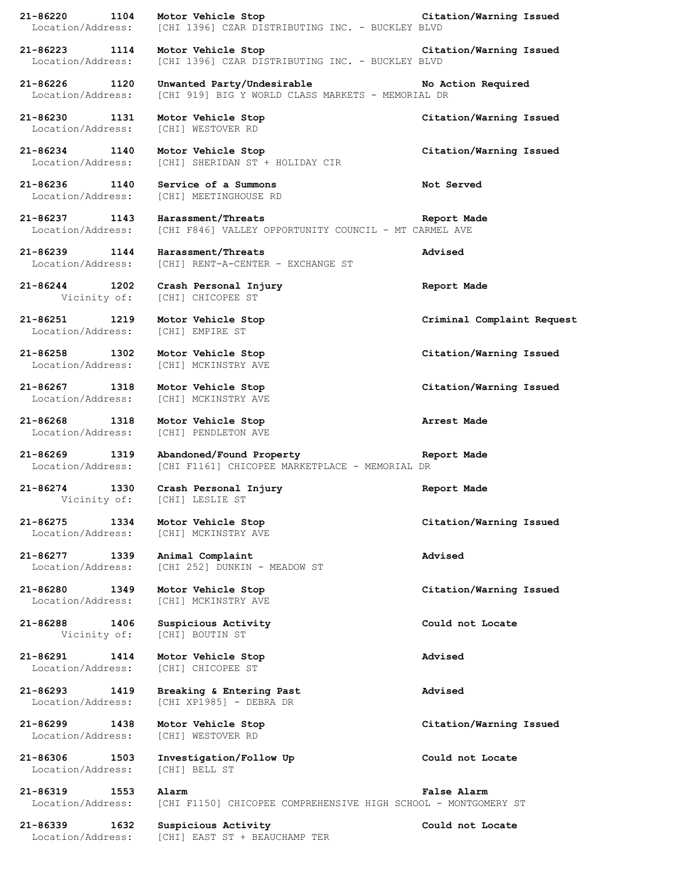**21-86220 1104 Motor Vehicle Stop Citation/Warning Issued** Location/Address: [CHI 1396] CZAR DISTRIBUTING INC. - BUCKLEY BLVD **21-86223 1114 Motor Vehicle Stop Citation/Warning Issued** Location/Address: [CHI 1396] CZAR DISTRIBUTING INC. - BUCKLEY BLVD **21-86226 1120 Unwanted Party/Undesirable No Action Required** Location/Address: [CHI 919] BIG Y WORLD CLASS MARKETS - MEMORIAL DR **21-86230 1131 Motor Vehicle Stop Citation/Warning Issued** Location/Address: [CHI] WESTOVER RD **21-86234 1140 Motor Vehicle Stop Citation/Warning Issued** [CHI] SHERIDAN ST + HOLIDAY CIR **21-86236 1140 Service of a Summons Not Served** Location/Address: [CHI] MEETINGHOUSE RD **21-86237 1143 Harassment/Threats Report Made** Location/Address: [CHI F846] VALLEY OPPORTUNITY COUNCIL - MT CARMEL AVE **21-86239 1144 Harassment/Threats Advised** Location/Address: [CHI] RENT-A-CENTER - EXCHANGE ST **21-86244 1202 Crash Personal Injury Report Made** Vicinity of: [CHI] CHICOPEE ST **21-86251 1219 Motor Vehicle Stop Criminal Complaint Request** Location/Address: [CHI] EMPIRE ST **21-86258 1302 Motor Vehicle Stop Citation/Warning Issued** Location/Address: [CHI] MCKINSTRY AVE **21-86267 1318 Motor Vehicle Stop Citation/Warning Issued** Location/Address: [CHI] MCKINSTRY AVE **21-86268 1318 Motor Vehicle Stop Arrest Made** Location/Address: [CHI] PENDLETON AVE **21-86269 1319 Abandoned/Found Property Report Made** Location/Address: [CHI F1161] CHICOPEE MARKETPLACE - MEMORIAL DR **21-86274 1330 Crash Personal Injury Report Made** Vicinity of: [CHI] LESLIE ST **21-86275 1334 Motor Vehicle Stop Citation/Warning Issued** Location/Address: [CHI] MCKINSTRY AVE **21-86277 1339 Animal Complaint Advised** Location/Address: [CHI 252] DUNKIN - MEADOW ST **21-86280 1349 Motor Vehicle Stop Citation/Warning Issued** Location/Address: [CHI] MCKINSTRY AVE **21-86288 1406 Suspicious Activity Could not Locate** Vicinity of: [CHI] BOUTIN ST **21-86291 1414 Motor Vehicle Stop Advised** Location/Address: [CHI] CHICOPEE ST **21-86293 1419 Breaking & Entering Past Advised** Location/Address: [CHI XP1985] - DEBRA DR **21-86299 1438 Motor Vehicle Stop Citation/Warning Issued** Location/Address: [CHI] WESTOVER RD **21-86306 1503 Investigation/Follow Up Could not Locate** Location/Address: [CHI] BELL ST **21-86319 1553 Alarm False Alarm** Location/Address: [CHI F1150] CHICOPEE COMPREHENSIVE HIGH SCHOOL - MONTGOMERY ST **21-86339 1632 Suspicious Activity Could not Locate** Location/Address: [CHI] EAST ST + BEAUCHAMP TER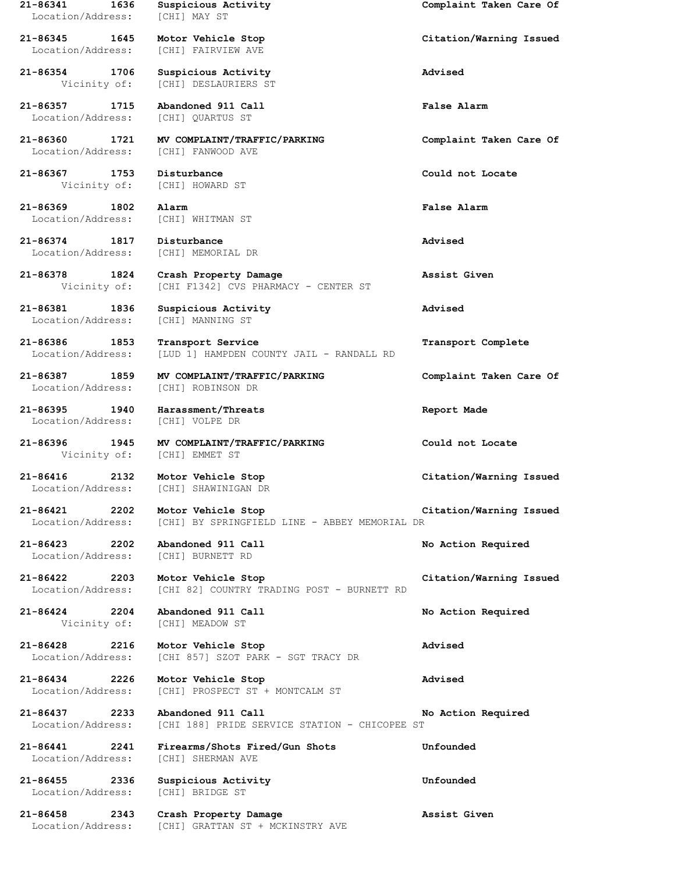**21-86341 1636 Suspicious Activity Complaint Taken Care Of** Location/Address: [CHI] MAY ST **21-86345 1645 Motor Vehicle Stop Citation/Warning Issued** Location/Address: [CHI] FAIRVIEW AVE **21-86354 1706 Suspicious Activity Advised** Vicinity of: [CHI] DESLAURIERS ST **21-86357 1715 Abandoned 911 Call False Alarm** Location/Address: [CHI] QUARTUS ST **21-86360 1721 MV COMPLAINT/TRAFFIC/PARKING Complaint Taken Care Of** Location/Address: [CHI] FANWOOD AVE **21-86367 1753 Disturbance Could not Locate** Vicinity of: [CHI] HOWARD ST **21-86369 1802 Alarm False Alarm** Location/Address: [CHI] WHITMAN ST **21-86374 1817 Disturbance Advised** Location/Address: [CHI] MEMORIAL DR **21-86378 1824 Crash Property Damage Assist Given** Vicinity of: [CHI F1342] CVS PHARMACY - CENTER ST **21-86381 1836 Suspicious Activity Advised** Location/Address: [CHI] MANNING ST **21-86386 1853 Transport Service Transport Complete** Location/Address: [LUD 1] HAMPDEN COUNTY JAIL - RANDALL RD **21-86387 1859 MV COMPLAINT/TRAFFIC/PARKING Complaint Taken Care Of** Location/Address: [CHI] ROBINSON DR **21-86395 1940 Harassment/Threats Report Made** Location/Address: [CHI] VOLPE DR **21-86396 1945 MV COMPLAINT/TRAFFIC/PARKING Could not Locate** [CHI] EMMET ST **21-86416 2132 Motor Vehicle Stop Citation/Warning Issued** Location/Address: [CHI] SHAWINIGAN DR **21-86421 2202 Motor Vehicle Stop Citation/Warning Issued** [CHI] BY SPRINGFIELD LINE - ABBEY MEMORIAL DR **21-86423 2202 Abandoned 911 Call No Action Required** Location/Address: [CHI] BURNETT RD **21-86422 2203 Motor Vehicle Stop Citation/Warning Issued** Location/Address: [CHI 82] COUNTRY TRADING POST - BURNETT RD **21-86424 2204 Abandoned 911 Call No Action Required** Vicinity of: [CHI] MEADOW ST **21-86428 2216 Motor Vehicle Stop Advised** Location/Address: [CHI 857] SZOT PARK - SGT TRACY DR **21-86434 2226 Motor Vehicle Stop Advised** Location/Address: [CHI] PROSPECT ST + MONTCALM ST **21-86437 2233 Abandoned 911 Call No Action Required** Location/Address: [CHI 188] PRIDE SERVICE STATION - CHICOPEE ST **21-86441 2241 Firearms/Shots Fired/Gun Shots Unfounded** Location/Address: [CHI] SHERMAN AVE **21-86455 2336 Suspicious Activity Unfounded** Location/Address: [CHI] BRIDGE ST **21-86458 2343 Crash Property Damage Assist Given**

Location/Address: [CHI] GRATTAN ST + MCKINSTRY AVE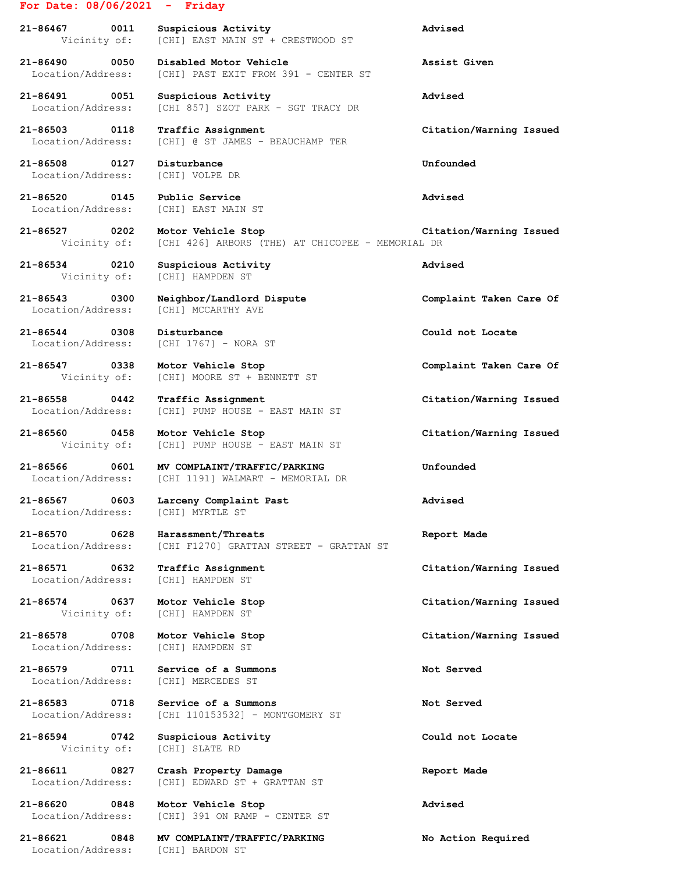## **For Date: 08/06/2021 - Friday**

**21-86467 0011 Suspicious Activity Advised** Vicinity of: [CHI] EAST MAIN ST + CRESTWOOD ST

**21-86490 0050 Disabled Motor Vehicle Assist Given** Location/Address: [CHI] PAST EXIT FROM 391 - CENTER ST

**21-86491 0051 Suspicious Activity Advised** Location/Address: [CHI 857] SZOT PARK - SGT TRACY DR

**21-86503 0118 Traffic Assignment Citation/Warning Issued**

**21-86508 0127 Disturbance Unfounded** Location/Address: [CHI] VOLPE DR

**21-86520 0145 Public Service Advised** Location/Address: [CHI] EAST MAIN ST

**21-86534 0210 Suspicious Activity Advised**

**21-86544 0308 Disturbance Could not Locate**

Location/Address: [CHI] MYRTLE ST

**21-86578 0708 Motor Vehicle Stop Citation/Warning Issued**

**21-86594 0742 Suspicious Activity Could not Locate** Vicinity of: [CHI] SLATE RD

Location/Address: [CHI] @ ST JAMES - BEAUCHAMP TER

**21-86527 0202 Motor Vehicle Stop Citation/Warning Issued** Vicinity of: [CHI 426] ARBORS (THE) AT CHICOPEE - MEMORIAL DR

Vicinity of: [CHI] HAMPDEN ST

**21-86543 0300 Neighbor/Landlord Dispute Complaint Taken Care Of** Location/Address: [CHI] MCCARTHY AVE

Location/Address: [CHI 1767] - NORA ST

**21-86547 0338 Motor Vehicle Stop Complaint Taken Care Of** Vicinity of: [CHI] MOORE ST + BENNETT ST

**21-86558 0442 Traffic Assignment Citation/Warning Issued** Location/Address: [CHI] PUMP HOUSE - EAST MAIN ST

**21-86560 0458 Motor Vehicle Stop Citation/Warning Issued** Vicinity of: [CHI] PUMP HOUSE - EAST MAIN ST

**21-86566 0601 MV COMPLAINT/TRAFFIC/PARKING Unfounded** Location/Address: [CHI 1191] WALMART - MEMORIAL DR

**21-86567 0603 Larceny Complaint Past Advised**

**21-86570 0628 Harassment/Threats Report Made** Location/Address: [CHI F1270] GRATTAN STREET - GRATTAN ST

Location/Address: [CHI] HAMPDEN ST

Vicinity of: [CHI] HAMPDEN ST

Location/Address: [CHI] HAMPDEN ST

**21-86579 0711 Service of a Summons Not Served** Location/Address: [CHI] MERCEDES ST

**21-86583 0718 Service of a Summons Not Served** Location/Address: [CHI 110153532] - MONTGOMERY ST

**21-86611 0827 Crash Property Damage Report Made** Location/Address: [CHI] EDWARD ST + GRATTAN ST

**21-86620 0848 Motor Vehicle Stop Advised** Location/Address: [CHI] 391 ON RAMP - CENTER ST

**21-86621 0848 MV COMPLAINT/TRAFFIC/PARKING No Action Required** Location/Address: [CHI] BARDON ST

**21-86571 0632 Traffic Assignment Citation/Warning Issued**

**21-86574 0637 Motor Vehicle Stop Citation/Warning Issued**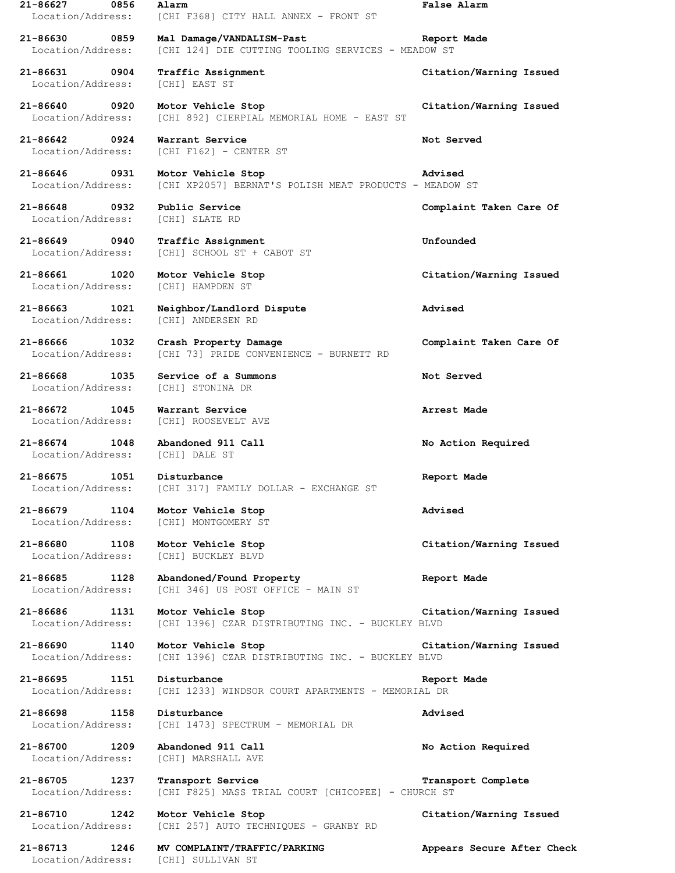**21-86627 0856 Alarm False Alarm** Location/Address: [CHI F368] CITY HALL ANNEX - FRONT ST **21-86630 0859 Mal Damage/VANDALISM-Past Report Made** Location/Address: [CHI 124] DIE CUTTING TOOLING SERVICES - MEADOW ST **21-86631 0904 Traffic Assignment Citation/Warning Issued** Location/Address: [CHI] EAST ST **21-86640 0920 Motor Vehicle Stop Citation/Warning Issued** Location/Address: [CHI 892] CIERPIAL MEMORIAL HOME - EAST ST **21-86642 0924 Warrant Service Not Served** Location/Address: [CHI F162] - CENTER ST **21-86646 0931 Motor Vehicle Stop Advised** Location/Address: [CHI XP2057] BERNAT'S POLISH MEAT PRODUCTS - MEADOW ST **21-86648 0932 Public Service Complaint Taken Care Of** Location/Address: [CHI] SLATE RD **21-86649 0940 Traffic Assignment Unfounded** Location/Address: [CHI] SCHOOL ST + CABOT ST **21-86661 1020 Motor Vehicle Stop Citation/Warning Issued** Location/Address: [CHI] HAMPDEN ST **21-86663 1021 Neighbor/Landlord Dispute Advised** Location/Address: [CHI] ANDERSEN RD **21-86666 1032 Crash Property Damage Complaint Taken Care Of** Location/Address: [CHI 73] PRIDE CONVENIENCE - BURNETT RD **21-86668 1035 Service of a Summons Not Served** Location/Address: [CHI] STONINA DR **21-86672 1045 Warrant Service Arrest Made** Location/Address: [CHI] ROOSEVELT AVE **21-86674 1048 Abandoned 911 Call No Action Required** Location/Address: [CHI] DALE ST **21-86675 1051 Disturbance Report Made** Location/Address: [CHI 317] FAMILY DOLLAR - EXCHANGE ST **21-86679 1104 Motor Vehicle Stop Advised** Location/Address: [CHI] MONTGOMERY ST **21-86680 1108 Motor Vehicle Stop Citation/Warning Issued** Location/Address: [CHI] BUCKLEY BLVD **21-86685 1128 Abandoned/Found Property Report Made** Location/Address: [CHI 346] US POST OFFICE - MAIN ST **21-86686 1131 Motor Vehicle Stop Citation/Warning Issued** Location/Address: [CHI 1396] CZAR DISTRIBUTING INC. - BUCKLEY BLVD **21-86690 1140 Motor Vehicle Stop Citation/Warning Issued** Location/Address: [CHI 1396] CZAR DISTRIBUTING INC. - BUCKLEY BLVD **21-86695 1151 Disturbance Report Made** Location/Address: [CHI 1233] WINDSOR COURT APARTMENTS - MEMORIAL DR **21-86698 1158 Disturbance Advised** Location/Address: [CHI 1473] SPECTRUM - MEMORIAL DR **21-86700 1209 Abandoned 911 Call No Action Required** Location/Address: [CHI] MARSHALL AVE **21-86705 1237 Transport Service Transport Complete** Location/Address: [CHI F825] MASS TRIAL COURT [CHICOPEE] - CHURCH ST **21-86710 1242 Motor Vehicle Stop Citation/Warning Issued** Location/Address: [CHI 257] AUTO TECHNIQUES - GRANBY RD **21-86713 1246 MV COMPLAINT/TRAFFIC/PARKING Appears Secure After Check** Location/Address: [CHI] SULLIVAN ST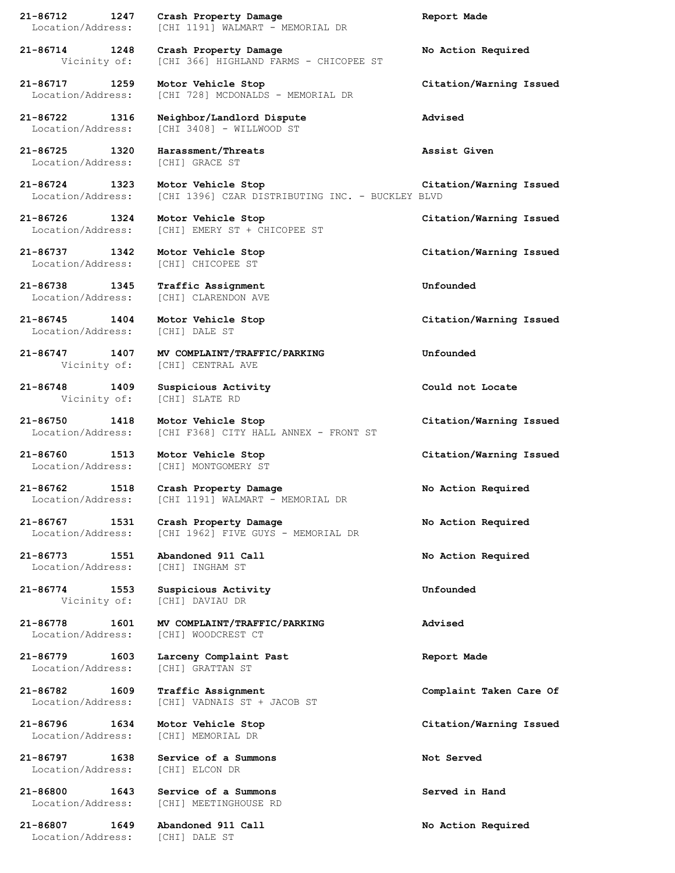| 1247<br>21-86712<br>Location/Address:                 | Crash Property Damage<br>[CHI 1191] WALMART - MEMORIAL DR               | Report Made             |
|-------------------------------------------------------|-------------------------------------------------------------------------|-------------------------|
| 21-86714 1248<br>Vicinity of:                         | Crash Property Damage<br>[CHI 366] HIGHLAND FARMS - CHICOPEE ST         | No Action Required      |
| 21-86717 1259<br>Location/Address:                    | Motor Vehicle Stop<br>[CHI 728] MCDONALDS - MEMORIAL DR                 | Citation/Warning Issued |
| 21-86722 1316<br>Location/Address:                    | Neighbor/Landlord Dispute<br>[CHI 3408] - WILLWOOD ST                   | Advised                 |
| 21-86725 1320<br>Location/Address:                    | Harassment/Threats<br>[CHI] GRACE ST                                    | Assist Given            |
| 21-86724 1323<br>Location/Address:                    | Motor Vehicle Stop<br>[CHI 1396] CZAR DISTRIBUTING INC. - BUCKLEY BLVD  | Citation/Warning Issued |
| 21-86726 1324<br>Location/Address:                    | Motor Vehicle Stop<br>[CHI] EMERY ST + CHICOPEE ST                      | Citation/Warning Issued |
| 21-86737 1342<br>Location/Address:                    | Motor Vehicle Stop<br>[CHI] CHICOPEE ST                                 | Citation/Warning Issued |
| 21-86738 1345<br>Location/Address:                    | Traffic Assignment<br>[CHI] CLARENDON AVE                               | Unfounded               |
| 21-86745 1404<br>Location/Address:                    | Motor Vehicle Stop<br>[CHI] DALE ST                                     | Citation/Warning Issued |
| 21-86747 1407<br>Vicinity of: [CHI] CENTRAL AVE       | MV COMPLAINT/TRAFFIC/PARKING                                            | Unfounded               |
| 21-86748 1409<br>Vicinity of: [CHI] SLATE RD          | Suspicious Activity                                                     | Could not Locate        |
| 21-86750 1418<br>Location/Address:                    | Motor Vehicle Stop<br>[CHI F368] CITY HALL ANNEX - FRONT ST             | Citation/Warning Issued |
| 21-86760 1513 Motor Vehicle Stop<br>Location/Address: | [CHI] MONTGOMERY ST                                                     | Citation/Warning Issued |
| Location/Address:                                     | 21-86762 1518 Crash Property Damage<br>[CHI 1191] WALMART - MEMORIAL DR | No Action Required      |
| 21-86767 1531<br>Location/Address:                    | Crash Property Damage<br>[CHI 1962] FIVE GUYS - MEMORIAL DR             | No Action Required      |
| 21-86773<br>1551<br>Location/Address:                 | Abandoned 911 Call<br>[CHI] INGHAM ST                                   | No Action Required      |
| 21-86774 1553<br>Vicinity of:                         | Suspicious Activity<br>[CHI] DAVIAU DR                                  | Unfounded               |
| 21-86778<br>1601<br>Location/Address:                 | MV COMPLAINT/TRAFFIC/PARKING<br>[CHI] WOODCREST CT                      | Advised                 |
| 21-86779 1603<br>Location/Address:                    | Larceny Complaint Past<br>[CHI] GRATTAN ST                              | Report Made             |
| 21-86782<br>1609<br>Location/Address:                 | Traffic Assignment<br>[CHI] VADNAIS ST + JACOB ST                       | Complaint Taken Care Of |
| 21-86796<br>1634<br>Location/Address:                 | Motor Vehicle Stop<br>[CHI] MEMORIAL DR                                 | Citation/Warning Issued |
| 21-86797<br>1638<br>Location/Address:                 | Service of a Summons<br>[CHI] ELCON DR                                  | Not Served              |
| 21-86800<br>1643<br>Location/Address:                 | Service of a Summons<br>[CHI] MEETINGHOUSE RD                           | Served in Hand          |
| 21-86807<br>1649<br>Location/Address:                 | Abandoned 911 Call<br>[CHI] DALE ST                                     | No Action Required      |
|                                                       |                                                                         |                         |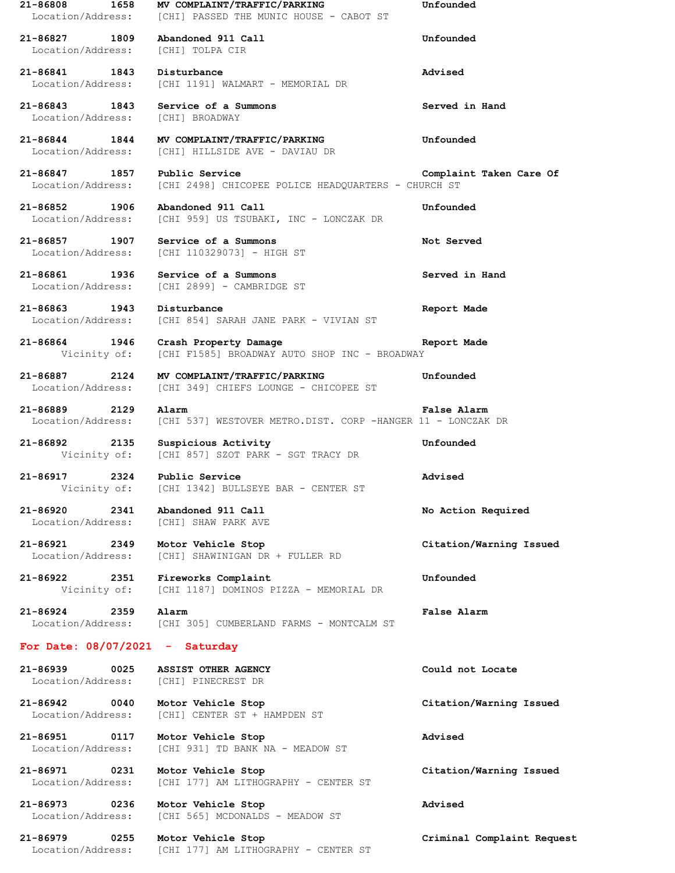**21-86808 1658 MV COMPLAINT/TRAFFIC/PARKING Unfounded** Location/Address: [CHI] PASSED THE MUNIC HOUSE - CABOT ST **21-86827 1809 Abandoned 911 Call Unfounded** Location/Address: [CHI] TOLPA CIR **21-86841 1843 Disturbance Advised** Location/Address: [CHI 1191] WALMART - MEMORIAL DR **21-86843 1843 Service of a Summons Served in Hand** Location/Address: [CHI] BROADWAY **21-86844 1844 MV COMPLAINT/TRAFFIC/PARKING Unfounded** Location/Address: [CHI] HILLSIDE AVE - DAVIAU DR **21-86847 1857 Public Service Complaint Taken Care Of** Location/Address: [CHI 2498] CHICOPEE POLICE HEADQUARTERS - CHURCH ST **21-86852 1906 Abandoned 911 Call Unfounded** Location/Address: [CHI 959] US TSUBAKI, INC - LONCZAK DR **21-86857 1907 Service of a Summons Not Served** Location/Address: [CHI 110329073] - HIGH ST **21-86861 1936 Service of a Summons Served in Hand** Location/Address: [CHI 2899] - CAMBRIDGE ST **21-86863 1943 Disturbance Report Made** Location/Address: [CHI 854] SARAH JANE PARK - VIVIAN ST **21-86864 1946 Crash Property Damage Report Made** Vicinity of: [CHI F1585] BROADWAY AUTO SHOP INC - BROADWAY **21-86887 2124 MV COMPLAINT/TRAFFIC/PARKING Unfounded** Location/Address: [CHI 349] CHIEFS LOUNGE - CHICOPEE ST **21-86889 2129 Alarm False Alarm** Location/Address: [CHI 537] WESTOVER METRO.DIST. CORP -HANGER 11 - LONCZAK DR **21-86892 2135 Suspicious Activity Unfounded** Vicinity of: [CHI 857] SZOT PARK - SGT TRACY DR **21-86917 2324 Public Service Advised** Vicinity of: [CHI 1342] BULLSEYE BAR - CENTER ST **21-86920 2341 Abandoned 911 Call No Action Required** Location/Address: [CHI] SHAW PARK AVE **21-86921 2349 Motor Vehicle Stop Citation/Warning Issued** Location/Address: [CHI] SHAWINIGAN DR + FULLER RD **21-86922 2351 Fireworks Complaint Unfounded** Vicinity of: [CHI 1187] DOMINOS PIZZA - MEMORIAL DR **21-86924 2359 Alarm False Alarm** Location/Address: [CHI 305] CUMBERLAND FARMS - MONTCALM ST **For Date: 08/07/2021 - Saturday 21-86939 0025 ASSIST OTHER AGENCY Could not Locate** Location/Address: [CHI] PINECREST DR **21-86942 0040 Motor Vehicle Stop Citation/Warning Issued** Location/Address: [CHI] CENTER ST + HAMPDEN ST **21-86951 0117 Motor Vehicle Stop Advised** Location/Address: [CHI 931] TD BANK NA - MEADOW ST **21-86971 0231 Motor Vehicle Stop Citation/Warning Issued** Location/Address: [CHI 177] AM LITHOGRAPHY - CENTER ST **21-86973 0236 Motor Vehicle Stop Advised** Location/Address: [CHI 565] MCDONALDS - MEADOW ST **21-86979 0255 Motor Vehicle Stop Criminal Complaint Request** Location/Address: [CHI 177] AM LITHOGRAPHY - CENTER ST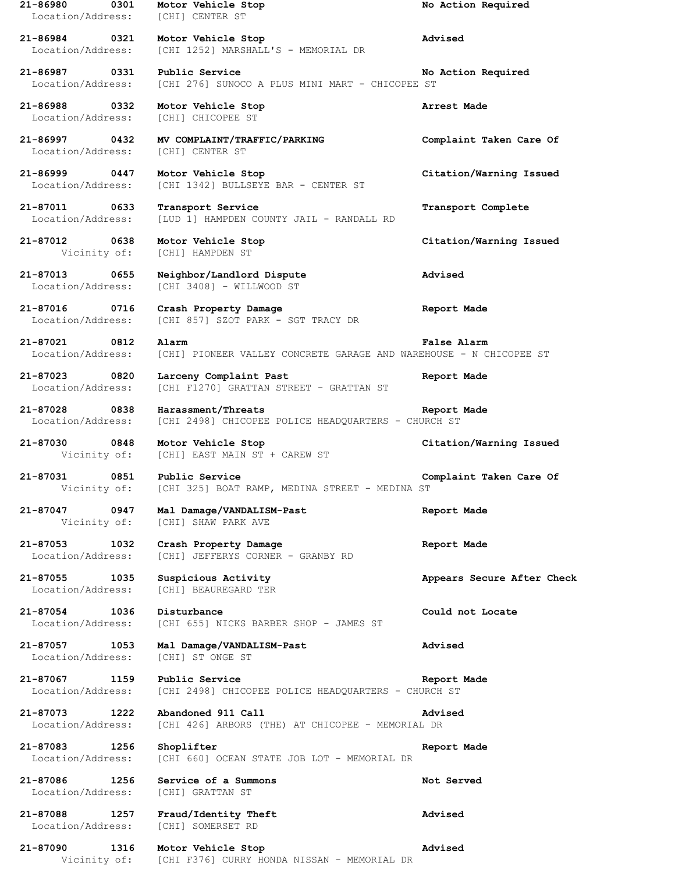**21-86980 0301 Motor Vehicle Stop No Action Required** Location/Address: [CHI] CENTER ST **21-86984 0321 Motor Vehicle Stop Advised** Location/Address: [CHI 1252] MARSHALL'S - MEMORIAL DR **21-86987 0331 Public Service No Action Required** Location/Address: [CHI 276] SUNOCO A PLUS MINI MART - CHICOPEE ST **21-86988 0332 Motor Vehicle Stop Arrest Made** Location/Address: [CHI] CHICOPEE ST **21-86997 0432 MV COMPLAINT/TRAFFIC/PARKING Complaint Taken Care Of** Location/Address: [CHI] CENTER ST **21-86999 0447 Motor Vehicle Stop Citation/Warning Issued** Location/Address: [CHI 1342] BULLSEYE BAR - CENTER ST **21-87011 0633 Transport Service Transport Complete** Location/Address: [LUD 1] HAMPDEN COUNTY JAIL - RANDALL RD **21-87012 0638 Motor Vehicle Stop Citation/Warning Issued** Vicinity of: [CHI] HAMPDEN ST **21-87013 0655 Neighbor/Landlord Dispute Advised** Location/Address: [CHI 3408] - WILLWOOD ST **21-87016 0716 Crash Property Damage Report Made** Location/Address: [CHI 857] SZOT PARK - SGT TRACY DR **21-87021 0812 Alarm False Alarm** Location/Address: [CHI] PIONEER VALLEY CONCRETE GARAGE AND WAREHOUSE - N CHICOPEE ST **21-87023 0820 Larceny Complaint Past Report Made** Location/Address: [CHI F1270] GRATTAN STREET - GRATTAN ST **21-87028 0838 Harassment/Threats Report Made** Location/Address: [CHI 2498] CHICOPEE POLICE HEADQUARTERS - CHURCH ST **21-87030 0848 Motor Vehicle Stop Citation/Warning Issued** Vicinity of: [CHI] EAST MAIN ST + CAREW ST **21-87031 0851 Public Service Complaint Taken Care Of** Vicinity of: [CHI 325] BOAT RAMP, MEDINA STREET - MEDINA ST **21-87047 0947 Mal Damage/VANDALISM-Past Report Made** Vicinity of: [CHI] SHAW PARK AVE **21-87053 1032 Crash Property Damage Report Made** Location/Address: [CHI] JEFFERYS CORNER - GRANBY RD **21-87055 1035 Suspicious Activity Appears Secure After Check** Location/Address: [CHI] BEAUREGARD TER **21-87054 1036 Disturbance Could not Locate** Location/Address: [CHI 655] NICKS BARBER SHOP - JAMES ST **21-87057 1053 Mal Damage/VANDALISM-Past Advised** Location/Address: [CHI] ST ONGE ST **21-87067 1159 Public Service Report Made** Location/Address: [CHI 2498] CHICOPEE POLICE HEADQUARTERS - CHURCH ST **21-87073 1222 Abandoned 911 Call Advised** Location/Address: [CHI 426] ARBORS (THE) AT CHICOPEE - MEMORIAL DR **21-87083 1256 Shoplifter Report Made** Location/Address: [CHI 660] OCEAN STATE JOB LOT - MEMORIAL DR **21-87086 1256 Service of a Summons Not Served** Location/Address: [CHI] GRATTAN ST **21-87088 1257 Fraud/Identity Theft Advised** Location/Address: [CHI] SOMERSET RD **21-87090 1316 Motor Vehicle Stop Advised** Vicinity of: [CHI F376] CURRY HONDA NISSAN - MEMORIAL DR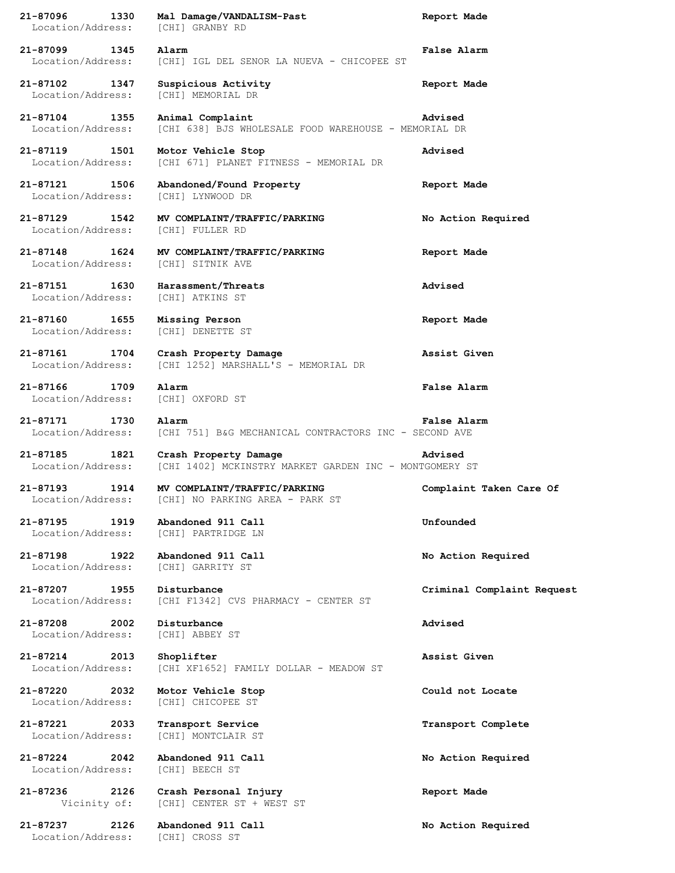| 21-87096<br>1330<br>Location/Address: | Mal Damage/VANDALISM-Past<br>[CHI] GRANBY RD                                    | Report Made                |
|---------------------------------------|---------------------------------------------------------------------------------|----------------------------|
| 21-87099<br>1345<br>Location/Address: | Alarm<br>[CHI] IGL DEL SENOR LA NUEVA - CHICOPEE ST                             | <b>False Alarm</b>         |
| 21-87102<br>1347<br>Location/Address: | Suspicious Activity<br>[CHI] MEMORIAL DR                                        | Report Made                |
| 21-87104<br>1355<br>Location/Address: | Animal Complaint<br>[CHI 638] BJS WHOLESALE FOOD WAREHOUSE - MEMORIAL DR        | Advised                    |
| 21-87119<br>1501<br>Location/Address: | Motor Vehicle Stop<br>[CHI 671] PLANET FITNESS - MEMORIAL DR                    | Advised                    |
| 21-87121<br>1506<br>Location/Address: | Abandoned/Found Property<br>[CHI] LYNWOOD DR                                    | Report Made                |
| 21-87129<br>1542<br>Location/Address: | MV COMPLAINT/TRAFFIC/PARKING<br>[CHI] FULLER RD                                 | No Action Required         |
| 21-87148<br>1624<br>Location/Address: | MV COMPLAINT/TRAFFIC/PARKING<br>[CHI] SITNIK AVE                                | Report Made                |
| 21-87151<br>1630<br>Location/Address: | Harassment/Threats<br>[CHI] ATKINS ST                                           | Advised                    |
| 21-87160<br>1655<br>Location/Address: | Missing Person<br>[CHI] DENETTE ST                                              | Report Made                |
| 21-87161<br>1704<br>Location/Address: | Crash Property Damage<br>[CHI 1252] MARSHALL'S - MEMORIAL DR                    | Assist Given               |
| 21-87166<br>1709<br>Location/Address: | Alarm<br>[CHI] OXFORD ST                                                        | False Alarm                |
| 21-87171<br>1730<br>Location/Address: | Alarm<br>[CHI 751] B&G MECHANICAL CONTRACTORS INC - SECOND AVE                  | False Alarm                |
| 21-87185<br>1821<br>Location/Address: | Crash Property Damage<br>[CHI 1402] MCKINSTRY MARKET GARDEN INC - MONTGOMERY ST | Advised                    |
| 21-87193<br>1914<br>Location/Address: | MV COMPLAINT/TRAFFIC/PARKING<br>[CHI] NO PARKING AREA - PARK ST                 | Complaint Taken Care Of    |
| 21-87195<br>1919<br>Location/Address: | Abandoned 911 Call<br>[CHI] PARTRIDGE LN                                        | Unfounded                  |
| 21-87198<br>1922<br>Location/Address: | Abandoned 911 Call<br>[CHI] GARRITY ST                                          | No Action Required         |
| 21-87207<br>1955<br>Location/Address: | Disturbance<br>[CHI F1342] CVS PHARMACY - CENTER ST                             | Criminal Complaint Request |
| 21-87208<br>2002<br>Location/Address: | Disturbance<br>[CHI] ABBEY ST                                                   | Advised                    |
| 21-87214<br>2013<br>Location/Address: | Shoplifter<br>[CHI XF1652] FAMILY DOLLAR - MEADOW ST                            | Assist Given               |
| 21-87220<br>2032<br>Location/Address: | Motor Vehicle Stop<br>[CHI] CHICOPEE ST                                         | Could not Locate           |
| 21-87221<br>2033<br>Location/Address: | Transport Service<br>[CHI] MONTCLAIR ST                                         | Transport Complete         |
| 21-87224<br>2042<br>Location/Address: | Abandoned 911 Call<br>[CHI] BEECH ST                                            | No Action Required         |
| 21-87236<br>2126<br>Vicinity of:      | Crash Personal Injury<br>[CHI] CENTER ST + WEST ST                              | Report Made                |
| 21-87237<br>2126<br>Location/Address: | Abandoned 911 Call<br>[CHI] CROSS ST                                            | No Action Required         |
|                                       |                                                                                 |                            |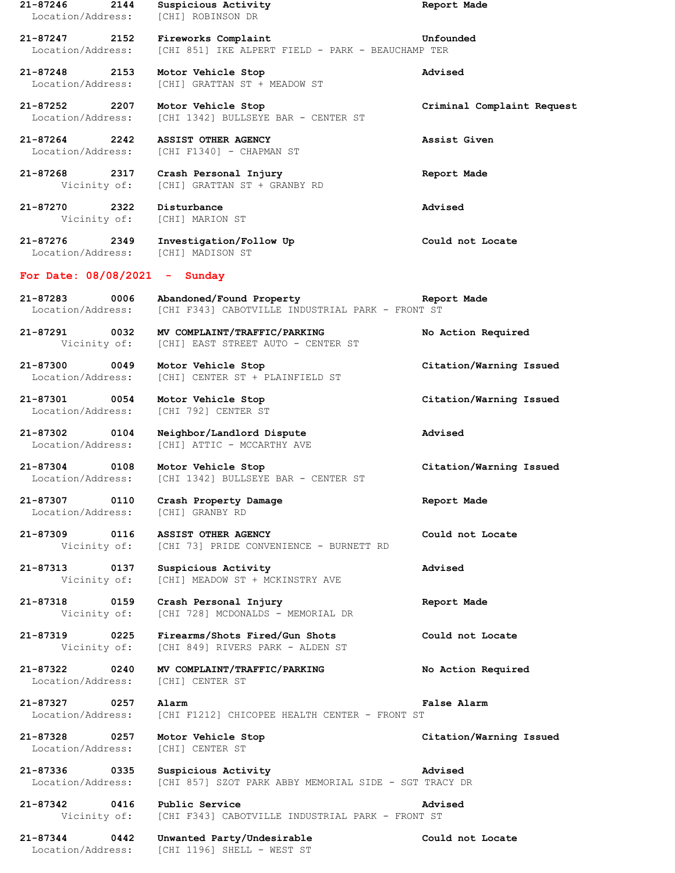| 21-87246<br>2144<br>Location/Address: | Suspicious Activity<br>[CHI] ROBINSON DR                                     | Report Made                |
|---------------------------------------|------------------------------------------------------------------------------|----------------------------|
| 21-87247<br>2152<br>Location/Address: | Fireworks Complaint<br>[CHI 851] IKE ALPERT FIELD - PARK - BEAUCHAMP TER     | Unfounded                  |
| 21-87248 2153<br>Location/Address:    | Motor Vehicle Stop<br>[CHI] GRATTAN ST + MEADOW ST                           | Advised                    |
| 21-87252 2207<br>Location/Address:    | Motor Vehicle Stop<br>[CHI 1342] BULLSEYE BAR - CENTER ST                    | Criminal Complaint Request |
| 21-87264 2242<br>Location/Address:    | ASSIST OTHER AGENCY<br>[CHI F1340] - CHAPMAN ST                              | Assist Given               |
| 21-87268 2317<br>Vicinity of:         | Crash Personal Injury<br>[CHI] GRATTAN ST + GRANBY RD                        | Report Made                |
| 21-87270<br>2322<br>Vicinity of:      | Disturbance<br>[CHI] MARION ST                                               | Advised                    |
| 21-87276 2349<br>Location/Address:    | Investigation/Follow Up<br>[CHI] MADISON ST                                  | Could not Locate           |
| For Date: $08/08/2021$ - Sunday       |                                                                              |                            |
| 21-87283<br>0006<br>Location/Address: | Abandoned/Found Property<br>[CHI F343] CABOTVILLE INDUSTRIAL PARK - FRONT ST | Report Made                |
| 21-87291 0032<br>Vicinity of:         | MV COMPLAINT/TRAFFIC/PARKING<br>[CHI] EAST STREET AUTO - CENTER ST           | No Action Required         |
| 21-87300<br>0049<br>Location/Address: | Motor Vehicle Stop<br>[CHI] CENTER ST + PLAINFIELD ST                        | Citation/Warning Issued    |
| 21-87301 0054<br>Location/Address:    | Motor Vehicle Stop<br>[CHI 792] CENTER ST                                    | Citation/Warning Issued    |
| 21-87302<br>0104<br>Location/Address: | Neighbor/Landlord Dispute<br>[CHI] ATTIC - MCCARTHY AVE                      | Advised                    |
| 21-87304<br>0108<br>Location/Address: | Motor Vehicle Stop<br>[CHI 1342] BULLSEYE BAR - CENTER ST                    | Citation/Warning Issued    |
| 21-87307<br>0110<br>Location/Address: | Crash Property Damage<br>[CHI] GRANBY RD                                     | Report Made                |
| 21-87309 0116                         | ASSIST OTHER AGENCY<br>Vicinity of: [CHI 73] PRIDE CONVENIENCE - BURNETT RD  | Could not Locate           |
| 21-87313 0137<br>Vicinity of:         | Suspicious Activity<br>[CHI] MEADOW ST + MCKINSTRY AVE                       | Advised                    |
| 21-87318<br>0159<br>Vicinity of:      | Crash Personal Injury<br>[CHI 728] MCDONALDS - MEMORIAL DR                   | Report Made                |
| 21-87319<br>0225<br>Vicinity of:      | Firearms/Shots Fired/Gun Shots<br>[CHI 849] RIVERS PARK - ALDEN ST           | Could not Locate           |
| 21-87322<br>0240<br>Location/Address: | MV COMPLAINT/TRAFFIC/PARKING<br>[CHI] CENTER ST                              | No Action Required         |
| 21-87327 0257<br>Location/Address:    | Alarm<br>[CHI F1212] CHICOPEE HEALTH CENTER - FRONT ST                       | False Alarm                |
| 21-87328 0257<br>Location/Address:    | Motor Vehicle Stop<br>[CHI] CENTER ST                                        | Citation/Warning Issued    |
| 21-87336<br>0335<br>Location/Address: | Suspicious Activity<br>[CHI 857] SZOT PARK ABBY MEMORIAL SIDE - SGT TRACY DR | Advised                    |
| 21-87342 0416<br>Vicinity of:         | Public Service<br>[CHI F343] CABOTVILLE INDUSTRIAL PARK - FRONT ST           | Advised                    |
| 21-87344<br>0442<br>Location/Address: | Unwanted Party/Undesirable<br>[CHI 1196] SHELL - WEST ST                     | Could not Locate           |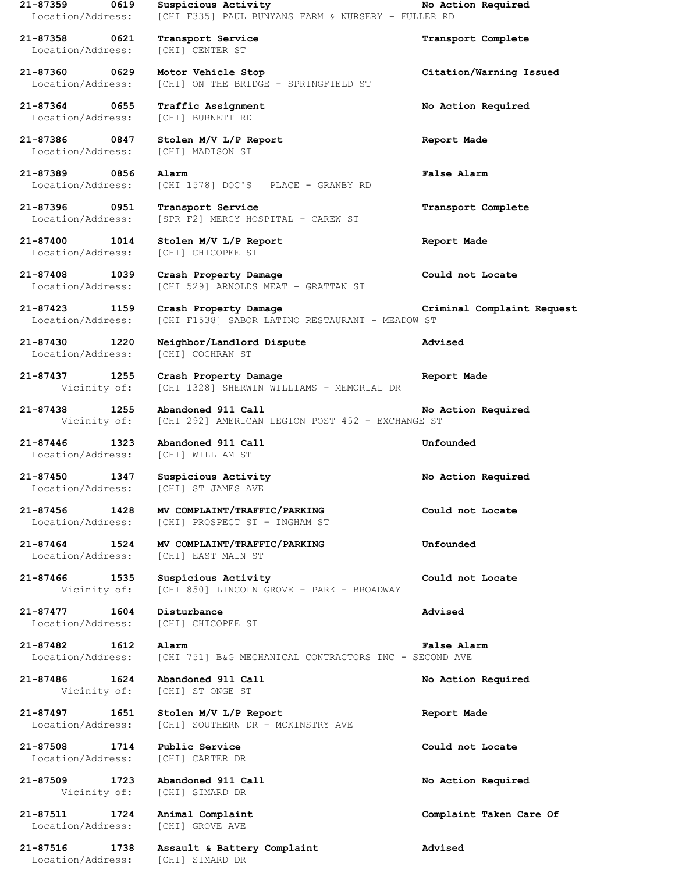**21-87359 0619 Suspicious Activity No Action Required** Location/Address: [CHI F335] PAUL BUNYANS FARM & NURSERY - FULLER RD **21-87358 0621 Transport Service Transport Complete** Location/Address: **21-87360 0629 Motor Vehicle Stop Citation/Warning Issued** Location/Address: [CHI] ON THE BRIDGE - SPRINGFIELD ST **21-87364 0655 Traffic Assignment No Action Required** Location/Address: [CHI] BURNETT RD **21-87386 0847 Stolen M/V L/P Report Report Made** Location/Address: [CHI] MADISON ST **21-87389 0856 Alarm False Alarm** Location/Address: [CHI 1578] DOC'S PLACE - GRANBY RD **21-87396 0951 Transport Service Transport Complete** Location/Address: [SPR F2] MERCY HOSPITAL - CAREW ST **21-87400 1014 Stolen M/V L/P Report Report Made** Location/Address: [CHI] CHICOPEE ST **21-87408 1039 Crash Property Damage Could not Locate** Location/Address: [CHI 529] ARNOLDS MEAT - GRATTAN ST **21-87423 1159 Crash Property Damage Criminal Complaint Request** Location/Address: [CHI F1538] SABOR LATINO RESTAURANT - MEADOW ST **21-87430 1220 Neighbor/Landlord Dispute Advised** Location/Address: [CHI] COCHRAN ST **21-87437 1255 Crash Property Damage Report Made** Vicinity of: [CHI 1328] SHERWIN WILLIAMS - MEMORIAL DR **21-87438 1255 Abandoned 911 Call No Action Required** Vicinity of: [CHI 292] AMERICAN LEGION POST 452 - EXCHANGE ST **21-87446 1323 Abandoned 911 Call Unfounded** Location/Address: **21-87450 1347 Suspicious Activity No Action Required** Location/Address: [CHI] ST JAMES AVE **21-87456 1428 MV COMPLAINT/TRAFFIC/PARKING Could not Locate** Location/Address: [CHI] PROSPECT ST + INGHAM ST **21-87464 1524 MV COMPLAINT/TRAFFIC/PARKING Unfounded** Location/Address: [CHI] EAST MAIN ST **21-87466 1535 Suspicious Activity Could not Locate** Vicinity of: [CHI 850] LINCOLN GROVE - PARK - BROADWAY **21-87477 1604 Disturbance Advised** Location/Address: [CHI] CHICOPEE ST **21-87482 1612 Alarm False Alarm** Location/Address: [CHI 751] B&G MECHANICAL CONTRACTORS INC - SECOND AVE **21-87486 1624 Abandoned 911 Call No Action Required** Vicinity of: [CHI] ST ONGE ST **21-87497 1651 Stolen M/V L/P Report Report Made** Location/Address: [CHI] SOUTHERN DR + MCKINSTRY AVE **21-87508 1714 Public Service Could not Locate** Location/Address: [CHI] CARTER DR **21-87509 1723 Abandoned 911 Call No Action Required** Vicinity of: [CHI] SIMARD DR **21-87511 1724 Animal Complaint Complaint Taken Care Of** Location/Address: [CHI] GROVE AVE **21-87516 1738 Assault & Battery Complaint Advised** Location/Address: [CHI] SIMARD DR